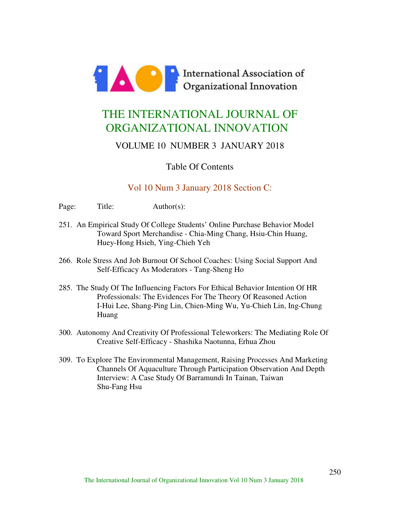

# THE INTERNATIONAL JOURNAL OF ORGANIZATIONAL INNOVATION

# VOLUME 10 NUMBER 3 JANUARY 2018

# Table Of Contents

# Vol 10 Num 3 January 2018 Section C:

- Page: Title: Author(s):
- 251. An Empirical Study Of College Students' Online Purchase Behavior Model Toward Sport Merchandise - Chia-Ming Chang, Hsiu-Chin Huang, Huey-Hong Hsieh, Ying-Chieh Yeh
- 266. Role Stress And Job Burnout Of School Coaches: Using Social Support And Self-Efficacy As Moderators - Tang-Sheng Ho
- 285. The Study Of The Influencing Factors For Ethical Behavior Intention Of HR Professionals: The Evidences For The Theory Of Reasoned Action I-Hui Lee, Shang-Ping Lin, Chien-Ming Wu, Yu-Chieh Lin, Ing-Chung Huang
- 300. Autonomy And Creativity Of Professional Teleworkers: The Mediating Role Of Creative Self-Efficacy - Shashika Naotunna, Erhua Zhou
- 309. To Explore The Environmental Management, Raising Processes And Marketing Channels Of Aquaculture Through Participation Observation And Depth Interview: A Case Study Of Barramundi In Tainan, Taiwan Shu-Fang Hsu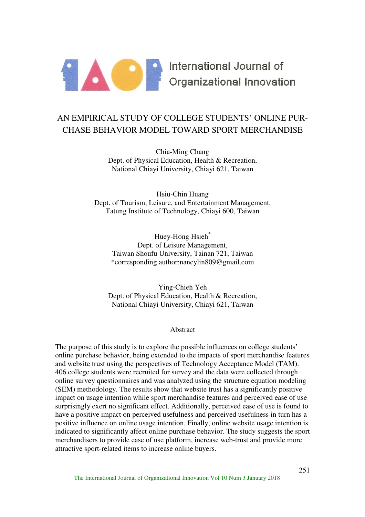

# AN EMPIRICAL STUDY OF COLLEGE STUDENTS' ONLINE PUR-CHASE BEHAVIOR MODEL TOWARD SPORT MERCHANDISE

Chia-Ming Chang Dept. of Physical Education, Health & Recreation, National Chiayi University, Chiayi 621, Taiwan

Hsiu-Chin Huang Dept. of Tourism, Leisure, and Entertainment Management, Tatung Institute of Technology, Chiayi 600, Taiwan

Huey-Hong Hsieh<sup>\*</sup> Dept. of Leisure Management, Taiwan Shoufu University, Tainan 721, Taiwan \*corresponding author:nancylin809@gmail.com

Ying-Chieh Yeh Dept. of Physical Education, Health & Recreation, National Chiayi University, Chiayi 621, Taiwan

#### Abstract

The purpose of this study is to explore the possible influences on college students' online purchase behavior, being extended to the impacts of sport merchandise features and website trust using the perspectives of Technology Acceptance Model (TAM). 406 college students were recruited for survey and the data were collected through online survey questionnaires and was analyzed using the structure equation modeling (SEM) methodology. The results show that website trust has a significantly positive impact on usage intention while sport merchandise features and perceived ease of use surprisingly exert no significant effect. Additionally, perceived ease of use is found to have a positive impact on perceived usefulness and perceived usefulness in turn has a positive influence on online usage intention. Finally, online website usage intention is indicated to significantly affect online purchase behavior. The study suggests the sport merchandisers to provide ease of use platform, increase web-trust and provide more attractive sport-related items to increase online buyers.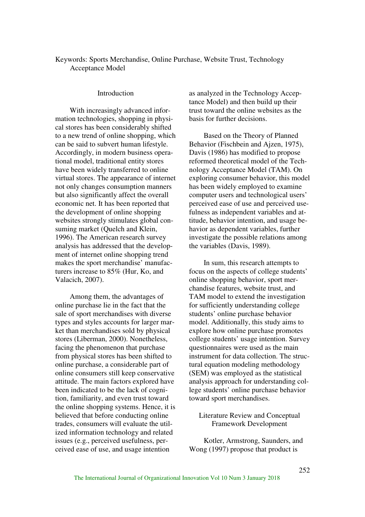# Keywords: Sports Merchandise, Online Purchase, Website Trust, Technology Acceptance Model

### Introduction

 With increasingly advanced information technologies, shopping in physical stores has been considerably shifted to a new trend of online shopping, which can be said to subvert human lifestyle. Accordingly, in modern business operational model, traditional entity stores have been widely transferred to online virtual stores. The appearance of internet not only changes consumption manners but also significantly affect the overall economic net. It has been reported that the development of online shopping websites strongly stimulates global consuming market (Quelch and Klein, 1996). The American research survey analysis has addressed that the development of internet online shopping trend makes the sport merchandise' manufacturers increase to 85% (Hur, Ko, and Valacich, 2007).

 Among them, the advantages of online purchase lie in the fact that the sale of sport merchandises with diverse types and styles accounts for larger market than merchandises sold by physical stores (Liberman, 2000). Nonetheless, facing the phenomenon that purchase from physical stores has been shifted to online purchase, a considerable part of online consumers still keep conservative attitude. The main factors explored have been indicated to be the lack of cognition, familiarity, and even trust toward the online shopping systems. Hence, it is believed that before conducting online trades, consumers will evaluate the utilized information technology and related issues (e.g., perceived usefulness, perceived ease of use, and usage intention

as analyzed in the Technology Acceptance Model) and then build up their trust toward the online websites as the basis for further decisions.

 Based on the Theory of Planned Behavior (Fischbein and Ajzen, 1975), Davis (1986) has modified to propose reformed theoretical model of the Technology Acceptance Model (TAM). On exploring consumer behavior, this model has been widely employed to examine computer users and technological users' perceived ease of use and perceived usefulness as independent variables and attitude, behavior intention, and usage behavior as dependent variables, further investigate the possible relations among the variables (Davis, 1989).

 In sum, this research attempts to focus on the aspects of college students' online shopping behavior, sport merchandise features, website trust, and TAM model to extend the investigation for sufficiently understanding college students' online purchase behavior model. Additionally, this study aims to explore how online purchase promotes college students' usage intention. Survey questionnaires were used as the main instrument for data collection. The structural equation modeling methodology (SEM) was employed as the statistical analysis approach for understanding college students' online purchase behavior toward sport merchandises.

### Literature Review and Conceptual Framework Development

 Kotler, Armstrong, Saunders, and Wong (1997) propose that product is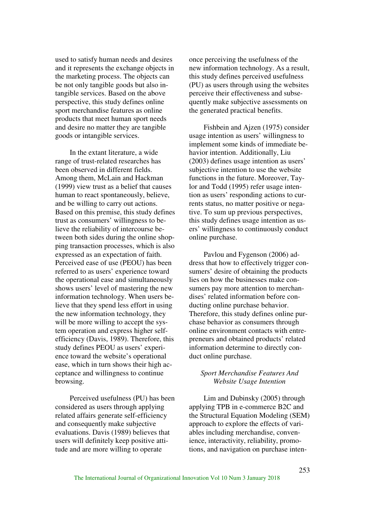used to satisfy human needs and desires and it represents the exchange objects in the marketing process. The objects can be not only tangible goods but also intangible services. Based on the above perspective, this study defines online sport merchandise features as online products that meet human sport needs and desire no matter they are tangible goods or intangible services.

 In the extant literature, a wide range of trust-related researches has been observed in different fields. Among them, McLain and Hackman (1999) view trust as a belief that causes human to react spontaneously, believe, and be willing to carry out actions. Based on this premise, this study defines trust as consumers' willingness to believe the reliability of intercourse between both sides during the online shopping transaction processes, which is also expressed as an expectation of faith. Perceived ease of use (PEOU) has been referred to as users' experience toward the operational ease and simultaneously shows users' level of mastering the new information technology. When users believe that they spend less effort in using the new information technology, they will be more willing to accept the system operation and express higher selfefficiency (Davis, 1989). Therefore, this study defines PEOU as users' experience toward the website's operational ease, which in turn shows their high acceptance and willingness to continue browsing.

 Perceived usefulness (PU) has been considered as users through applying related affairs generate self-efficiency and consequently make subjective evaluations. Davis (1989) believes that users will definitely keep positive attitude and are more willing to operate

once perceiving the usefulness of the new information technology. As a result, this study defines perceived usefulness (PU) as users through using the websites perceive their effectiveness and subsequently make subjective assessments on the generated practical benefits.

 Fishbein and Ajzen (1975) consider usage intention as users' willingness to implement some kinds of immediate behavior intention. Additionally, Liu (2003) defines usage intention as users' subjective intention to use the website functions in the future. Moreover, Taylor and Todd (1995) refer usage intention as users' responding actions to currents status, no matter positive or negative. To sum up previous perspectives, this study defines usage intention as users' willingness to continuously conduct online purchase.

 Pavlou and Fygenson (2006) address that how to effectively trigger consumers' desire of obtaining the products lies on how the businesses make consumers pay more attention to merchandises' related information before conducting online purchase behavior. Therefore, this study defines online purchase behavior as consumers through online environment contacts with entrepreneurs and obtained products' related information determine to directly conduct online purchase.

## *Sport Merchandise Features And Website Usage Intention*

 Lim and Dubinsky (2005) through applying TPB in e-commerce B2C and the Structural Equation Modeling (SEM) approach to explore the effects of variables including merchandise, convenience, interactivity, reliability, promotions, and navigation on purchase inten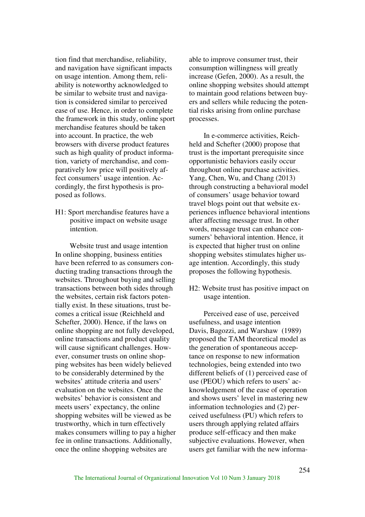tion find that merchandise, reliability, and navigation have significant impacts on usage intention. Among them, reliability is noteworthy acknowledged to be similar to website trust and navigation is considered similar to perceived ease of use. Hence, in order to complete the framework in this study, online sport merchandise features should be taken into account. In practice, the web browsers with diverse product features such as high quality of product information, variety of merchandise, and comparatively low price will positively affect consumers' usage intention. Accordingly, the first hypothesis is proposed as follows.

H1: Sport merchandise features have a positive impact on website usage intention.

 Website trust and usage intention In online shopping, business entities have been referred to as consumers conducting trading transactions through the websites. Throughout buying and selling transactions between both sides through the websites, certain risk factors potentially exist. In these situations, trust becomes a critical issue (Reichheld and Schefter, 2000). Hence, if the laws on online shopping are not fully developed, online transactions and product quality will cause significant challenges. However, consumer trusts on online shopping websites has been widely believed to be considerably determined by the websites' attitude criteria and users' evaluation on the websites. Once the websites' behavior is consistent and meets users' expectancy, the online shopping websites will be viewed as be trustworthy, which in turn effectively makes consumers willing to pay a higher fee in online transactions. Additionally, once the online shopping websites are

able to improve consumer trust, their consumption willingness will greatly increase (Gefen, 2000). As a result, the online shopping websites should attempt to maintain good relations between buyers and sellers while reducing the potential risks arising from online purchase processes.

 In e-commerce activities, Reichheld and Schefter (2000) propose that trust is the important prerequisite since opportunistic behaviors easily occur throughout online purchase activities. Yang, Chen, Wu, and Chang (2013) through constructing a behavioral model of consumers' usage behavior toward travel blogs point out that website experiences influence behavioral intentions after affecting message trust. In other words, message trust can enhance consumers' behavioral intention. Hence, it is expected that higher trust on online shopping websites stimulates higher usage intention. Accordingly, this study proposes the following hypothesis.

H2: Website trust has positive impact on usage intention.

 Perceived ease of use, perceived usefulness, and usage intention Davis, Bagozzi, and Warshaw (1989) proposed the TAM theoretical model as the generation of spontaneous acceptance on response to new information technologies, being extended into two different beliefs of (1) perceived ease of use (PEOU) which refers to users' acknowledgement of the ease of operation and shows users' level in mastering new information technologies and (2) perceived usefulness (PU) which refers to users through applying related affairs produce self-efficacy and then make subjective evaluations. However, when users get familiar with the new informa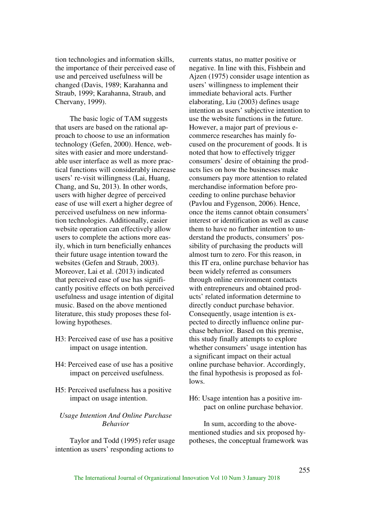tion technologies and information skills, the importance of their perceived ease of use and perceived usefulness will be changed (Davis, 1989; Karahanna and Straub, 1999; Karahanna, Straub, and Chervany, 1999).

 The basic logic of TAM suggests that users are based on the rational approach to choose to use an information technology (Gefen, 2000). Hence, websites with easier and more understandable user interface as well as more practical functions will considerably increase users' re-visit willingness (Lai, Huang, Chang, and Su, 2013). In other words, users with higher degree of perceived ease of use will exert a higher degree of perceived usefulness on new information technologies. Additionally, easier website operation can effectively allow users to complete the actions more easily, which in turn beneficially enhances their future usage intention toward the websites (Gefen and Straub, 2003). Moreover, Lai et al. (2013) indicated that perceived ease of use has significantly positive effects on both perceived usefulness and usage intention of digital music. Based on the above mentioned literature, this study proposes these following hypotheses.

- H3: Perceived ease of use has a positive impact on usage intention.
- H4: Perceived ease of use has a positive impact on perceived usefulness.
- H5: Perceived usefulness has a positive impact on usage intention.

# *Usage Intention And Online Purchase Behavior*

 Taylor and Todd (1995) refer usage intention as users' responding actions to

currents status, no matter positive or negative. In line with this, Fishbein and Ajzen (1975) consider usage intention as users' willingness to implement their immediate behavioral acts. Further elaborating, Liu (2003) defines usage intention as users' subjective intention to use the website functions in the future. However, a major part of previous ecommerce researches has mainly focused on the procurement of goods. It is noted that how to effectively trigger consumers' desire of obtaining the products lies on how the businesses make consumers pay more attention to related merchandise information before proceeding to online purchase behavior (Pavlou and Fygenson, 2006). Hence, once the items cannot obtain consumers' interest or identification as well as cause them to have no further intention to understand the products, consumers' possibility of purchasing the products will almost turn to zero. For this reason, in this IT era, online purchase behavior has been widely referred as consumers through online environment contacts with entrepreneurs and obtained products' related information determine to directly conduct purchase behavior. Consequently, usage intention is expected to directly influence online purchase behavior. Based on this premise, this study finally attempts to explore whether consumers' usage intention has a significant impact on their actual online purchase behavior. Accordingly, the final hypothesis is proposed as follows.

H6: Usage intention has a positive impact on online purchase behavior.

 In sum, according to the abovementioned studies and six proposed hypotheses, the conceptual framework was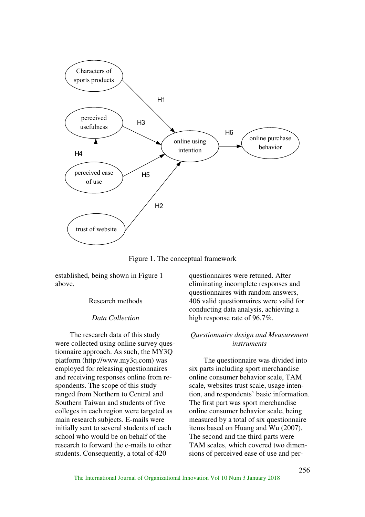

Figure 1. The conceptual framework

established, being shown in Figure 1 above.

### Research methods

### *Data Collection*

 The research data of this study were collected using online survey questionnaire approach. As such, the MY3Q platform (http://www.my3q.com) was employed for releasing questionnaires and receiving responses online from respondents. The scope of this study ranged from Northern to Central and Southern Taiwan and students of five colleges in each region were targeted as main research subjects. E-mails were initially sent to several students of each school who would be on behalf of the research to forward the e-mails to other students. Consequently, a total of 420

questionnaires were retuned. After eliminating incomplete responses and questionnaires with random answers, 406 valid questionnaires were valid for conducting data analysis, achieving a high response rate of 96.7%.

### *Questionnaire design and Measurement instruments*

 The questionnaire was divided into six parts including sport merchandise online consumer behavior scale, TAM scale, websites trust scale, usage intention, and respondents' basic information. The first part was sport merchandise online consumer behavior scale, being measured by a total of six questionnaire items based on Huang and Wu (2007). The second and the third parts were TAM scales, which covered two dimensions of perceived ease of use and per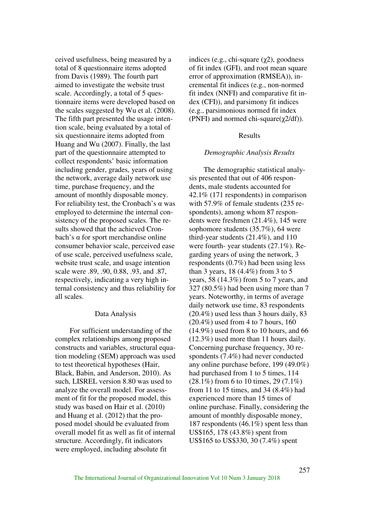ceived usefulness, being measured by a total of 8 questionnaire items adopted from Davis (1989). The fourth part aimed to investigate the website trust scale. Accordingly, a total of 5 questionnaire items were developed based on the scales suggested by Wu et al. (2008). The fifth part presented the usage intention scale, being evaluated by a total of six questionnaire items adopted from Huang and Wu (2007). Finally, the last part of the questionnaire attempted to collect respondents' basic information including gender, grades, years of using the network, average daily network use time, purchase frequency, and the amount of monthly disposable money. For reliability test, the Cronbach's  $\alpha$  was employed to determine the internal consistency of the proposed scales. The results showed that the achieved Cronbach's α for sport merchandise online consumer behavior scale, perceived ease of use scale, perceived usefulness scale, website trust scale, and usage intention scale were .89, .90, 0.88, .93, and .87, respectively, indicating a very high internal consistency and thus reliability for all scales.

#### Data Analysis

 For sufficient understanding of the complex relationships among proposed constructs and variables, structural equation modeling (SEM) approach was used to test theoretical hypotheses (Hair, Black, Babin, and Anderson, 2010). As such, LISREL version 8.80 was used to analyze the overall model. For assessment of fit for the proposed model, this study was based on Hair et al. (2010) and Huang et al. (2012) that the proposed model should be evaluated from overall model fit as well as fit of internal structure. Accordingly, fit indicators were employed, including absolute fit

indices (e.g., chi-square  $(\gamma 2)$ , goodness of fit index (GFI), and root mean square error of approximation (RMSEA)), incremental fit indices (e.g., non-normed fit index (NNFI) and comparative fit index (CFI)), and parsimony fit indices (e.g., parsimonious normed fit index (PNFI) and normed chi-square( $\gamma$ 2/df)).

#### Results

#### *Demographic Analysis Results*

 The demographic statistical analysis presented that out of 406 respondents, male students accounted for 42.1% (171 respondents) in comparison with 57.9% of female students (235 respondents), among whom 87 respondents were freshmen (21.4%), 145 were sophomore students (35.7%), 64 were third-year students (21.4%), and 110 were fourth- year students (27.1%). Regarding years of using the network, 3 respondents (0.7%) had been using less than 3 years, 18 (4.4%) from 3 to 5 years, 58 (14.3%) from 5 to 7 years, and 327 (80.5%) had been using more than 7 years. Noteworthy, in terms of average daily network use time, 83 respondents (20.4%) used less than 3 hours daily, 83  $(20.4\%)$  used from 4 to 7 hours, 160  $(14.9\%)$  used from 8 to 10 hours, and 66 (12.3%) used more than 11 hours daily. Concerning purchase frequency, 30 respondents (7.4%) had never conducted any online purchase before, 199 (49.0%) had purchased from 1 to 5 times, 114 (28.1%) from 6 to 10 times, 29 (7.1%) from 11 to 15 times, and 34 (8.4%) had experienced more than 15 times of online purchase. Finally, considering the amount of monthly disposable money, 187 respondents (46.1%) spent less than US\$165, 178 (43.8%) spent from US\$165 to US\$330, 30 (7.4%) spent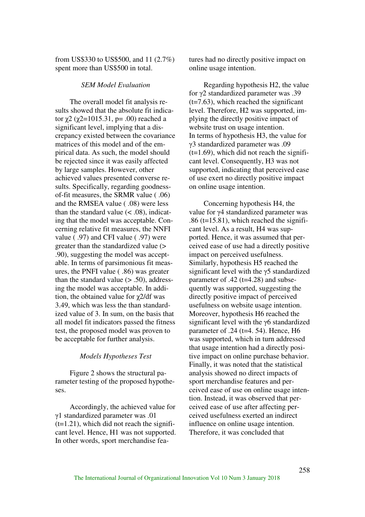from US\$330 to US\$500, and 11 (2.7%) spent more than US\$500 in total.

#### *SEM Model Evaluation*

 The overall model fit analysis results showed that the absolute fit indicator γ2 (γ2=1015.31, p= .00) reached a significant level, implying that a discrepancy existed between the covariance matrices of this model and of the empirical data. As such, the model should be rejected since it was easily affected by large samples. However, other achieved values presented converse results. Specifically, regarding goodnessof-fit measures, the SRMR value ( .06) and the RMSEA value ( .08) were less than the standard value  $(< .08)$ , indicating that the model was acceptable. Concerning relative fit measures, the NNFI value ( .97) and CFI value ( .97) were greater than the standardized value (> .90), suggesting the model was acceptable. In terms of parsimonious fit measures, the PNFI value ( .86) was greater than the standard value  $(> .50)$ , addressing the model was acceptable. In addition, the obtained value for χ2/df was 3.49, which was less the than standardized value of 3. In sum, on the basis that all model fit indicators passed the fitness test, the proposed model was proven to be acceptable for further analysis.

#### *Models Hypotheses Test*

 Figure 2 shows the structural parameter testing of the proposed hypotheses.

 Accordingly, the achieved value for γ1 standardized parameter was .01  $(t=1.21)$ , which did not reach the significant level. Hence, H1 was not supported. In other words, sport merchandise features had no directly positive impact on online usage intention.

 Regarding hypothesis H2, the value for γ2 standardized parameter was .39  $(t=7.63)$ , which reached the significant level. Therefore, H2 was supported, implying the directly positive impact of website trust on usage intention. In terms of hypothesis H3, the value for γ3 standardized parameter was .09  $(t=1.69)$ , which did not reach the significant level. Consequently, H3 was not supported, indicating that perceived ease of use exert no directly positive impact on online usage intention.

 Concerning hypothesis H4, the value for γ4 standardized parameter was .86 ( $t=15.81$ ), which reached the significant level. As a result, H4 was supported. Hence, it was assumed that perceived ease of use had a directly positive impact on perceived usefulness. Similarly, hypothesis H5 reached the significant level with the γ5 standardized parameter of .42 (t=4.28) and subsequently was supported, suggesting the directly positive impact of perceived usefulness on website usage intention. Moreover, hypothesis H6 reached the significant level with the γ6 standardized parameter of  $.24$  (t=4. 54). Hence, H6 was supported, which in turn addressed that usage intention had a directly positive impact on online purchase behavior. Finally, it was noted that the statistical analysis showed no direct impacts of sport merchandise features and perceived ease of use on online usage intention. Instead, it was observed that perceived ease of use after affecting perceived usefulness exerted an indirect influence on online usage intention. Therefore, it was concluded that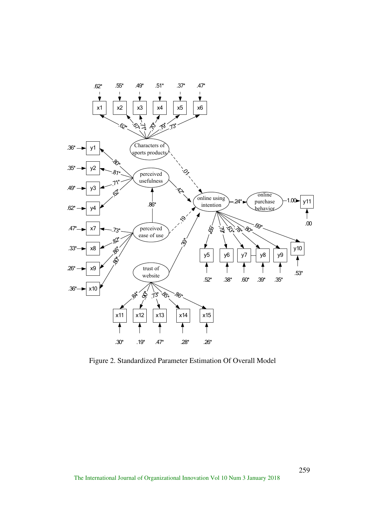

Figure 2. Standardized Parameter Estimation Of Overall Model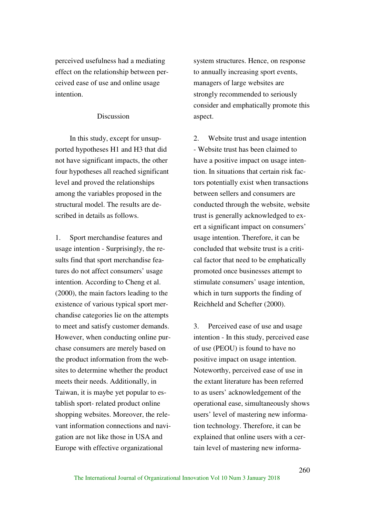perceived usefulness had a mediating effect on the relationship between perceived ease of use and online usage intention.

### **Discussion**

 In this study, except for unsupported hypotheses H1 and H3 that did not have significant impacts, the other four hypotheses all reached significant level and proved the relationships among the variables proposed in the structural model. The results are described in details as follows.

1. Sport merchandise features and usage intention - Surprisingly, the results find that sport merchandise features do not affect consumers' usage intention. According to Cheng et al. (2000), the main factors leading to the existence of various typical sport merchandise categories lie on the attempts to meet and satisfy customer demands. However, when conducting online purchase consumers are merely based on the product information from the websites to determine whether the product meets their needs. Additionally, in Taiwan, it is maybe yet popular to establish sport- related product online shopping websites. Moreover, the relevant information connections and navigation are not like those in USA and Europe with effective organizational

system structures. Hence, on response to annually increasing sport events, managers of large websites are strongly recommended to seriously consider and emphatically promote this aspect.

2. Website trust and usage intention - Website trust has been claimed to have a positive impact on usage intention. In situations that certain risk factors potentially exist when transactions between sellers and consumers are conducted through the website, website trust is generally acknowledged to exert a significant impact on consumers' usage intention. Therefore, it can be concluded that website trust is a critical factor that need to be emphatically promoted once businesses attempt to stimulate consumers' usage intention, which in turn supports the finding of Reichheld and Schefter (2000).

3. Perceived ease of use and usage intention - In this study, perceived ease of use (PEOU) is found to have no positive impact on usage intention. Noteworthy, perceived ease of use in the extant literature has been referred to as users' acknowledgement of the operational ease, simultaneously shows users' level of mastering new information technology. Therefore, it can be explained that online users with a certain level of mastering new informa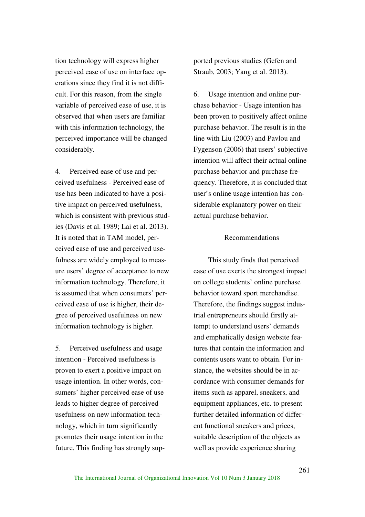tion technology will express higher perceived ease of use on interface operations since they find it is not difficult. For this reason, from the single variable of perceived ease of use, it is observed that when users are familiar with this information technology, the perceived importance will be changed considerably.

4. Perceived ease of use and perceived usefulness - Perceived ease of use has been indicated to have a positive impact on perceived usefulness, which is consistent with previous studies (Davis et al. 1989; Lai et al. 2013). It is noted that in TAM model, perceived ease of use and perceived usefulness are widely employed to measure users' degree of acceptance to new information technology. Therefore, it is assumed that when consumers' perceived ease of use is higher, their degree of perceived usefulness on new information technology is higher.

5. Perceived usefulness and usage intention - Perceived usefulness is proven to exert a positive impact on usage intention. In other words, consumers' higher perceived ease of use leads to higher degree of perceived usefulness on new information technology, which in turn significantly promotes their usage intention in the future. This finding has strongly supported previous studies (Gefen and Straub, 2003; Yang et al. 2013).

6. Usage intention and online purchase behavior - Usage intention has been proven to positively affect online purchase behavior. The result is in the line with Liu (2003) and Pavlou and Fygenson (2006) that users' subjective intention will affect their actual online purchase behavior and purchase frequency. Therefore, it is concluded that user's online usage intention has considerable explanatory power on their actual purchase behavior.

#### Recommendations

 This study finds that perceived ease of use exerts the strongest impact on college students' online purchase behavior toward sport merchandise. Therefore, the findings suggest industrial entrepreneurs should firstly attempt to understand users' demands and emphatically design website features that contain the information and contents users want to obtain. For instance, the websites should be in accordance with consumer demands for items such as apparel, sneakers, and equipment appliances, etc. to present further detailed information of different functional sneakers and prices, suitable description of the objects as well as provide experience sharing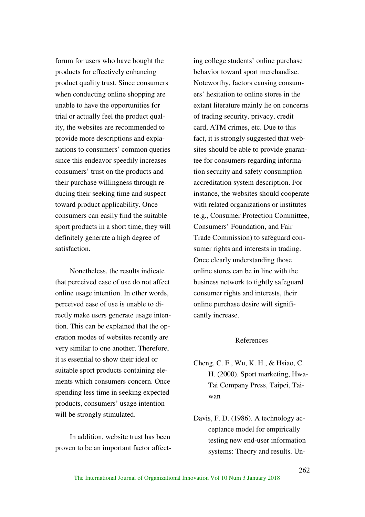forum for users who have bought the products for effectively enhancing product quality trust. Since consumers when conducting online shopping are unable to have the opportunities for trial or actually feel the product quality, the websites are recommended to provide more descriptions and explanations to consumers' common queries since this endeavor speedily increases consumers' trust on the products and their purchase willingness through reducing their seeking time and suspect toward product applicability. Once consumers can easily find the suitable sport products in a short time, they will definitely generate a high degree of satisfaction.

 Nonetheless, the results indicate that perceived ease of use do not affect online usage intention. In other words, perceived ease of use is unable to directly make users generate usage intention. This can be explained that the operation modes of websites recently are very similar to one another. Therefore, it is essential to show their ideal or suitable sport products containing elements which consumers concern. Once spending less time in seeking expected products, consumers' usage intention will be strongly stimulated.

 In addition, website trust has been proven to be an important factor affecting college students' online purchase behavior toward sport merchandise. Noteworthy, factors causing consumers' hesitation to online stores in the extant literature mainly lie on concerns of trading security, privacy, credit card, ATM crimes, etc. Due to this fact, it is strongly suggested that websites should be able to provide guarantee for consumers regarding information security and safety consumption accreditation system description. For instance, the websites should cooperate with related organizations or institutes (e.g., Consumer Protection Committee, Consumers' Foundation, and Fair Trade Commission) to safeguard consumer rights and interests in trading. Once clearly understanding those online stores can be in line with the business network to tightly safeguard consumer rights and interests, their online purchase desire will significantly increase.

## References

- Cheng, C. F., Wu, K. H., & Hsiao, C. H. (2000). Sport marketing, Hwa-Tai Company Press, Taipei, Taiwan
- Davis, F. D. (1986). A technology acceptance model for empirically testing new end-user information systems: Theory and results. Un-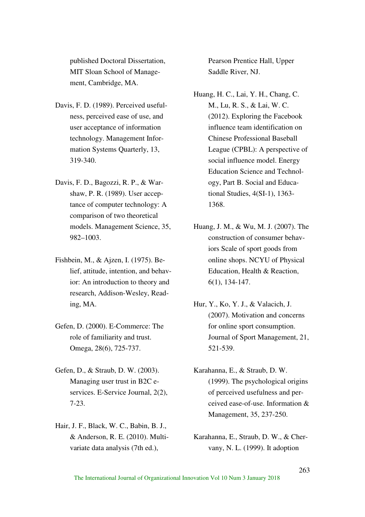published Doctoral Dissertation, MIT Sloan School of Management, Cambridge, MA.

- Davis, F. D. (1989). Perceived usefulness, perceived ease of use, and user acceptance of information technology. Management Information Systems Quarterly, 13, 319-340.
- Davis, F. D., Bagozzi, R. P., & Warshaw, P. R. (1989). User acceptance of computer technology: A comparison of two theoretical models. Management Science, 35, 982–1003.
- Fishbein, M., & Ajzen, I. (1975). Belief, attitude, intention, and behavior: An introduction to theory and research, Addison-Wesley, Reading, MA.
- Gefen, D. (2000). E-Commerce: The role of familiarity and trust. Omega, 28(6), 725-737.
- Gefen, D., & Straub, D. W. (2003). Managing user trust in B2C eservices. E-Service Journal, 2(2), 7-23.
- Hair, J. F., Black, W. C., Babin, B. J., & Anderson, R. E. (2010). Multivariate data analysis (7th ed.),

Pearson Prentice Hall, Upper Saddle River, NJ.

- Huang, H. C., Lai, Y. H., Chang, C. M., Lu, R. S., & Lai, W. C. (2012). Exploring the Facebook influence team identification on Chinese Professional Baseball League (CPBL): A perspective of social influence model. Energy Education Science and Technology, Part B. Social and Educational Studies, 4(SI-1), 1363- 1368.
- Huang, J. M., & Wu, M. J. (2007). The construction of consumer behaviors Scale of sport goods from online shops. NCYU of Physical Education, Health & Reaction, 6(1), 134-147.
- Hur, Y., Ko, Y. J., & Valacich, J. (2007). Motivation and concerns for online sport consumption. Journal of Sport Management, 21, 521-539.
- Karahanna, E., & Straub, D. W. (1999). The psychological origins of perceived usefulness and perceived ease-of-use. Information & Management, 35, 237-250.
- Karahanna, E., Straub, D. W., & Chervany, N. L. (1999). It adoption

The International Journal of Organizational Innovation Vol 10 Num 3 January 2018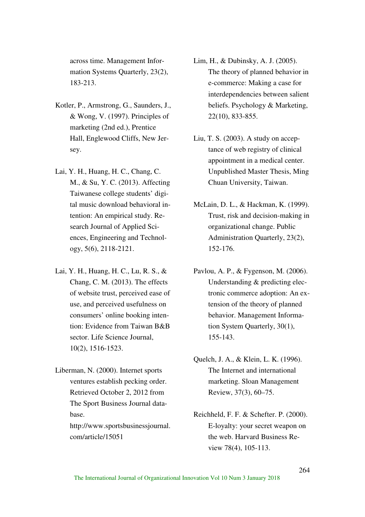across time. Management Information Systems Quarterly, 23(2), 183-213.

- Kotler, P., Armstrong, G., Saunders, J., & Wong, V. (1997). Principles of marketing (2nd ed.), Prentice Hall, Englewood Cliffs, New Jersey.
- Lai, Y. H., Huang, H. C., Chang, C. M., & Su, Y. C. (2013). Affecting Taiwanese college students' digital music download behavioral intention: An empirical study. Research Journal of Applied Sciences, Engineering and Technology, 5(6), 2118-2121.
- Lai, Y. H., Huang, H. C., Lu, R. S., & Chang, C. M. (2013). The effects of website trust, perceived ease of use, and perceived usefulness on consumers' online booking intention: Evidence from Taiwan B&B sector. Life Science Journal, 10(2), 1516-1523.
- Liberman, N. (2000). Internet sports ventures establish pecking order. Retrieved October 2, 2012 from The Sport Business Journal database. http://www.sportsbusinessjournal.

com/article/15051

- Lim, H., & Dubinsky, A. J. (2005). The theory of planned behavior in e-commerce: Making a case for interdependencies between salient beliefs. Psychology & Marketing, 22(10), 833-855.
- Liu, T. S. (2003). A study on acceptance of web registry of clinical appointment in a medical center. Unpublished Master Thesis, Ming Chuan University, Taiwan.
- McLain, D. L., & Hackman, K. (1999). Trust, risk and decision-making in organizational change. Public Administration Quarterly, 23(2), 152-176.
- Pavlou, A. P., & Fygenson, M. (2006). Understanding & predicting electronic commerce adoption: An extension of the theory of planned behavior. Management Information System Quarterly, 30(1), 155-143.
- Quelch, J. A., & Klein, L. K. (1996). The Internet and international marketing. Sloan Management Review, 37(3), 60–75.
- Reichheld, F. F. & Schefter. P. (2000). E-loyalty: your secret weapon on the web. Harvard Business Review 78(4), 105-113.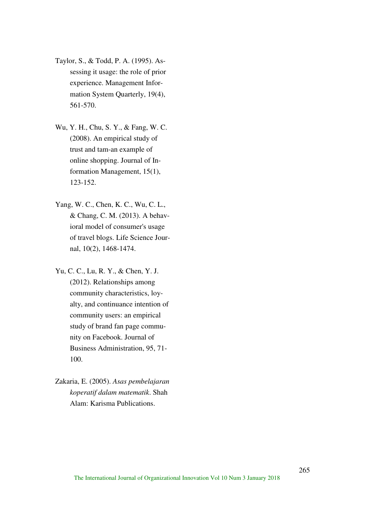- Taylor, S., & Todd, P. A. (1995). Assessing it usage: the role of prior experience. Management Information System Quarterly, 19(4), 561-570.
- Wu, Y. H., Chu, S. Y., & Fang, W. C. (2008). An empirical study of trust and tam-an example of online shopping. Journal of Information Management, 15(1), 123-152.
- Yang, W. C., Chen, K. C., Wu, C. L., & Chang, C. M. (2013). A behavioral model of consumer's usage of travel blogs. Life Science Journal, 10(2), 1468-1474.
- Yu, C. C., Lu, R. Y., & Chen, Y. J. (2012). Relationships among community characteristics, loyalty, and continuance intention of community users: an empirical study of brand fan page community on Facebook. Journal of Business Administration, 95, 71- 100.
- Zakaria, E. (2005). *Asas pembelajaran koperatif dalam matematik*. Shah Alam: Karisma Publications.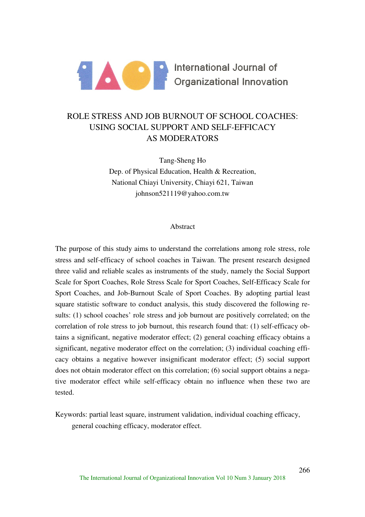

# ROLE STRESS AND JOB BURNOUT OF SCHOOL COACHES: USING SOCIAL SUPPORT AND SELF-EFFICACY AS MODERATORS

Tang-Sheng Ho Dep. of Physical Education, Health & Recreation, National Chiayi University, Chiayi 621, Taiwan johnson521119@yahoo.com.tw

#### Abstract

The purpose of this study aims to understand the correlations among role stress, role stress and self-efficacy of school coaches in Taiwan. The present research designed three valid and reliable scales as instruments of the study, namely the Social Support Scale for Sport Coaches, Role Stress Scale for Sport Coaches, Self-Efficacy Scale for Sport Coaches, and Job-Burnout Scale of Sport Coaches. By adopting partial least square statistic software to conduct analysis, this study discovered the following results: (1) school coaches' role stress and job burnout are positively correlated; on the correlation of role stress to job burnout, this research found that: (1) self-efficacy obtains a significant, negative moderator effect; (2) general coaching efficacy obtains a significant, negative moderator effect on the correlation; (3) individual coaching efficacy obtains a negative however insignificant moderator effect; (5) social support does not obtain moderator effect on this correlation; (6) social support obtains a negative moderator effect while self-efficacy obtain no influence when these two are tested.

Keywords: partial least square, instrument validation, individual coaching efficacy, general coaching efficacy, moderator effect.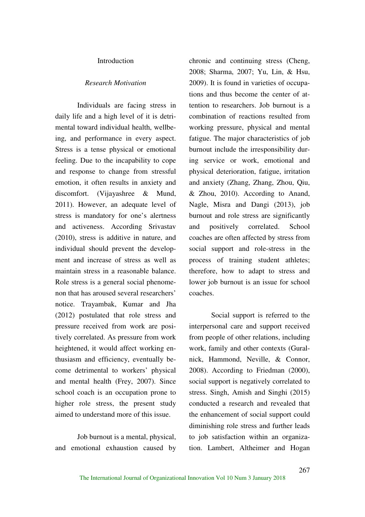# **Introduction**

#### *Research Motivation*

 Individuals are facing stress in daily life and a high level of it is detrimental toward individual health, wellbeing, and performance in every aspect. Stress is a tense physical or emotional feeling. Due to the incapability to cope and response to change from stressful emotion, it often results in anxiety and discomfort. (Vijayashree & Mund, 2011). However, an adequate level of stress is mandatory for one's alertness and activeness. According Srivastav (2010), stress is additive in nature, and individual should prevent the development and increase of stress as well as maintain stress in a reasonable balance. Role stress is a general social phenomenon that has aroused several researchers' notice. Trayambak, Kumar and Jha (2012) postulated that role stress and pressure received from work are positively correlated. As pressure from work heightened, it would affect working enthusiasm and efficiency, eventually become detrimental to workers' physical and mental health (Frey, 2007). Since school coach is an occupation prone to higher role stress, the present study aimed to understand more of this issue.

 Job burnout is a mental, physical, and emotional exhaustion caused by chronic and continuing stress (Cheng, 2008; Sharma, 2007; Yu, Lin, & Hsu, 2009). It is found in varieties of occupations and thus become the center of attention to researchers. Job burnout is a combination of reactions resulted from working pressure, physical and mental fatigue. The major characteristics of job burnout include the irresponsibility during service or work, emotional and physical deterioration, fatigue, irritation and anxiety (Zhang, Zhang, Zhou, Qiu, & Zhou, 2010). According to Anand, Nagle, Misra and Dangi (2013), job burnout and role stress are significantly and positively correlated. School coaches are often affected by stress from social support and role-stress in the process of training student athletes; therefore, how to adapt to stress and lower job burnout is an issue for school coaches.

 Social support is referred to the interpersonal care and support received from people of other relations, including work, family and other contexts (Guralnick, Hammond, Neville, & Connor, 2008). According to Friedman (2000), social support is negatively correlated to stress. Singh, Amish and Singhi (2015) conducted a research and revealed that the enhancement of social support could diminishing role stress and further leads to job satisfaction within an organization. Lambert, Altheimer and Hogan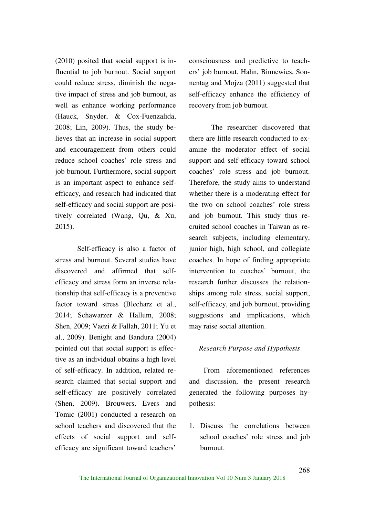(2010) posited that social support is influential to job burnout. Social support could reduce stress, diminish the negative impact of stress and job burnout, as well as enhance working performance (Hauck, Snyder, & Cox-Fuenzalida, 2008; Lin, 2009). Thus, the study believes that an increase in social support and encouragement from others could reduce school coaches' role stress and job burnout. Furthermore, social support is an important aspect to enhance selfefficacy, and research had indicated that self-efficacy and social support are positively correlated (Wang, Qu, & Xu, 2015).

 Self-efficacy is also a factor of stress and burnout. Several studies have discovered and affirmed that selfefficacy and stress form an inverse relationship that self-efficacy is a preventive factor toward stress (Blecharz et al., 2014; Schawarzer & Hallum, 2008; Shen, 2009; Vaezi & Fallah, 2011; Yu et al., 2009). Benight and Bandura (2004) pointed out that social support is effective as an individual obtains a high level of self-efficacy. In addition, related research claimed that social support and self-efficacy are positively correlated (Shen, 2009). Brouwers, Evers and Tomic (2001) conducted a research on school teachers and discovered that the effects of social support and selfefficacy are significant toward teachers'

consciousness and predictive to teachers' job burnout. Hahn, Binnewies, Sonnentag and Mojza (2011) suggested that self-efficacy enhance the efficiency of recovery from job burnout.

 The researcher discovered that there are little research conducted to examine the moderator effect of social support and self-efficacy toward school coaches' role stress and job burnout. Therefore, the study aims to understand whether there is a moderating effect for the two on school coaches' role stress and job burnout. This study thus recruited school coaches in Taiwan as research subjects, including elementary, junior high, high school, and collegiate coaches. In hope of finding appropriate intervention to coaches' burnout, the research further discusses the relationships among role stress, social support, self-efficacy, and job burnout, providing suggestions and implications, which may raise social attention.

# *Research Purpose and Hypothesis*

From aforementioned references and discussion, the present research generated the following purposes hypothesis:

1. Discuss the correlations between school coaches' role stress and job burnout.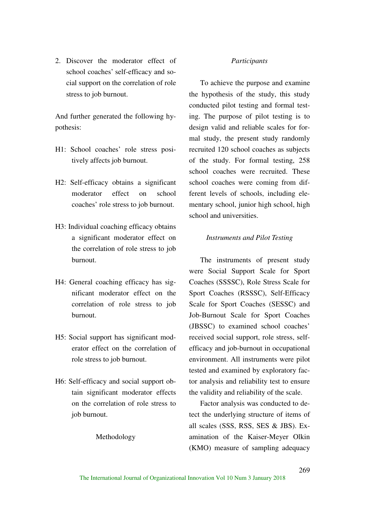2. Discover the moderator effect of school coaches' self-efficacy and social support on the correlation of role stress to job burnout.

And further generated the following hypothesis:

- H1: School coaches' role stress positively affects job burnout.
- H2: Self-efficacy obtains a significant moderator effect on school coaches' role stress to job burnout.
- H3: Individual coaching efficacy obtains a significant moderator effect on the correlation of role stress to job burnout.
- H4: General coaching efficacy has significant moderator effect on the correlation of role stress to job burnout.
- H5: Social support has significant moderator effect on the correlation of role stress to job burnout.
- H6: Self-efficacy and social support obtain significant moderator effects on the correlation of role stress to job burnout.

# Methodology

#### *Participants*

To achieve the purpose and examine the hypothesis of the study, this study conducted pilot testing and formal testing. The purpose of pilot testing is to design valid and reliable scales for formal study, the present study randomly recruited 120 school coaches as subjects of the study. For formal testing, 258 school coaches were recruited. These school coaches were coming from different levels of schools, including elementary school, junior high school, high school and universities.

### *Instruments and Pilot Testing*

The instruments of present study were Social Support Scale for Sport Coaches (SSSSC), Role Stress Scale for Sport Coaches (RSSSC), Self-Efficacy Scale for Sport Coaches (SESSC) and Job-Burnout Scale for Sport Coaches (JBSSC) to examined school coaches' received social support, role stress, selfefficacy and job-burnout in occupational environment. All instruments were pilot tested and examined by exploratory factor analysis and reliability test to ensure the validity and reliability of the scale.

Factor analysis was conducted to detect the underlying structure of items of all scales (SSS, RSS, SES & JBS). Examination of the Kaiser-Meyer Olkin (KMO) measure of sampling adequacy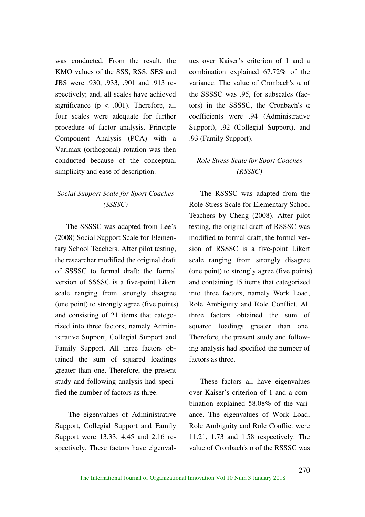was conducted. From the result, the KMO values of the SSS, RSS, SES and JBS were .930, .933, .901 and .913 respectively; and, all scales have achieved significance ( $p < .001$ ). Therefore, all four scales were adequate for further procedure of factor analysis. Principle Component Analysis (PCA) with a Varimax (orthogonal) rotation was then conducted because of the conceptual simplicity and ease of description.

# *Social Support Scale for Sport Coaches (SSSSC)*

The SSSSC was adapted from Lee's (2008) Social Support Scale for Elementary School Teachers. After pilot testing, the researcher modified the original draft of SSSSC to formal draft; the formal version of SSSSC is a five-point Likert scale ranging from strongly disagree (one point) to strongly agree (five points) and consisting of 21 items that categorized into three factors, namely Administrative Support, Collegial Support and Family Support. All three factors obtained the sum of squared loadings greater than one. Therefore, the present study and following analysis had specified the number of factors as three.

The eigenvalues of Administrative Support, Collegial Support and Family Support were 13.33, 4.45 and 2.16 respectively. These factors have eigenvalues over Kaiser's criterion of 1 and a combination explained 67.72% of the variance. The value of Cronbach's α of the SSSSC was .95, for subscales (factors) in the SSSSC, the Cronbach's α coefficients were .94 (Administrative Support), .92 (Collegial Support), and .93 (Family Support).

# *Role Stress Scale for Sport Coaches (RSSSC)*

The RSSSC was adapted from the Role Stress Scale for Elementary School Teachers by Cheng (2008). After pilot testing, the original draft of RSSSC was modified to formal draft; the formal version of RSSSC is a five-point Likert scale ranging from strongly disagree (one point) to strongly agree (five points) and containing 15 items that categorized into three factors, namely Work Load, Role Ambiguity and Role Conflict. All three factors obtained the sum of squared loadings greater than one. Therefore, the present study and following analysis had specified the number of factors as three.

These factors all have eigenvalues over Kaiser's criterion of 1 and a combination explained 58.08% of the variance. The eigenvalues of Work Load, Role Ambiguity and Role Conflict were 11.21, 1.73 and 1.58 respectively. The value of Cronbach's α of the RSSSC was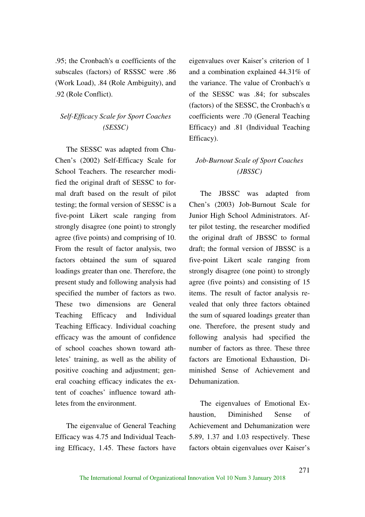.95; the Cronbach's α coefficients of the subscales (factors) of RSSSC were .86 (Work Load), .84 (Role Ambiguity), and .92 (Role Conflict).

# *Self-Efficacy Scale for Sport Coaches (SESSC)*

The SESSC was adapted from Chu-Chen's (2002) Self-Efficacy Scale for School Teachers. The researcher modified the original draft of SESSC to formal draft based on the result of pilot testing; the formal version of SESSC is a five-point Likert scale ranging from strongly disagree (one point) to strongly agree (five points) and comprising of 10. From the result of factor analysis, two factors obtained the sum of squared loadings greater than one. Therefore, the present study and following analysis had specified the number of factors as two. These two dimensions are General Teaching Efficacy and Individual Teaching Efficacy. Individual coaching efficacy was the amount of confidence of school coaches shown toward athletes' training, as well as the ability of positive coaching and adjustment; general coaching efficacy indicates the extent of coaches' influence toward athletes from the environment.

The eigenvalue of General Teaching Efficacy was 4.75 and Individual Teaching Efficacy, 1.45. These factors have eigenvalues over Kaiser's criterion of 1 and a combination explained 44.31% of the variance. The value of Cronbach's α of the SESSC was .84; for subscales (factors) of the SESSC, the Cronbach's  $\alpha$ coefficients were .70 (General Teaching Efficacy) and .81 (Individual Teaching Efficacy).

# *Job-Burnout Scale of Sport Coaches (JBSSC)*

The JBSSC was adapted from Chen's (2003) Job-Burnout Scale for Junior High School Administrators. After pilot testing, the researcher modified the original draft of JBSSC to formal draft; the formal version of JBSSC is a five-point Likert scale ranging from strongly disagree (one point) to strongly agree (five points) and consisting of 15 items. The result of factor analysis revealed that only three factors obtained the sum of squared loadings greater than one. Therefore, the present study and following analysis had specified the number of factors as three. These three factors are Emotional Exhaustion, Diminished Sense of Achievement and Dehumanization.

The eigenvalues of Emotional Exhaustion, Diminished Sense of Achievement and Dehumanization were 5.89, 1.37 and 1.03 respectively. These factors obtain eigenvalues over Kaiser's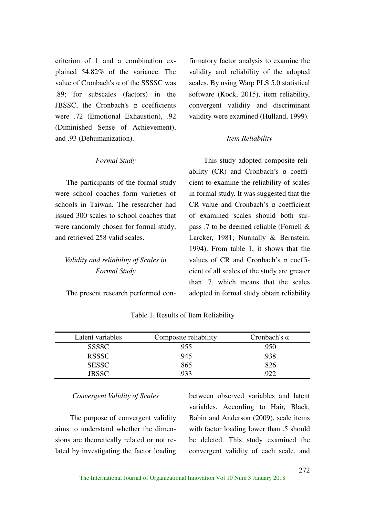criterion of 1 and a combination explained 54.82% of the variance. The value of Cronbach's α of the SSSSC was .89; for subscales (factors) in the JBSSC, the Cronbach's  $\alpha$  coefficients were .72 (Emotional Exhaustion), .92 (Diminished Sense of Achievement), and .93 (Dehumanization).

### *Formal Study*

The participants of the formal study were school coaches form varieties of schools in Taiwan. The researcher had issued 300 scales to school coaches that were randomly chosen for formal study, and retrieved 258 valid scales.

# *Validity and reliability of Scales in Formal Study*

The present research performed con-

firmatory factor analysis to examine the validity and reliability of the adopted scales. By using Warp PLS 5.0 statistical software (Kock, 2015), item reliability, convergent validity and discriminant validity were examined (Hulland, 1999).

### *Item Reliability*

This study adopted composite reliability (CR) and Cronbach's α coefficient to examine the reliability of scales in formal study. It was suggested that the CR value and Cronbach's α coefficient of examined scales should both surpass .7 to be deemed reliable (Fornell & Larcker, 1981; Nunnally & Bernstein, 1994). From table 1, it shows that the values of CR and Cronbach's α coefficient of all scales of the study are greater than .7, which means that the scales adopted in formal study obtain reliability.

| Latent variables | Composite reliability | Cronbach's $\alpha$ |
|------------------|-----------------------|---------------------|
| <b>SSSSC</b>     | .955                  | .950                |
| <b>RSSSC</b>     | .945                  | .938                |
| <b>SESSC</b>     | .865                  | .826                |
| <b>JBSSC</b>     | 933                   | റാ                  |

#### Table 1. Results of Item Reliability

#### *Convergent Validity of Scales*

The purpose of convergent validity aims to understand whether the dimensions are theoretically related or not related by investigating the factor loading between observed variables and latent variables. According to Hair, Black, Babin and Anderson (2009), scale items with factor loading lower than .5 should be deleted. This study examined the convergent validity of each scale, and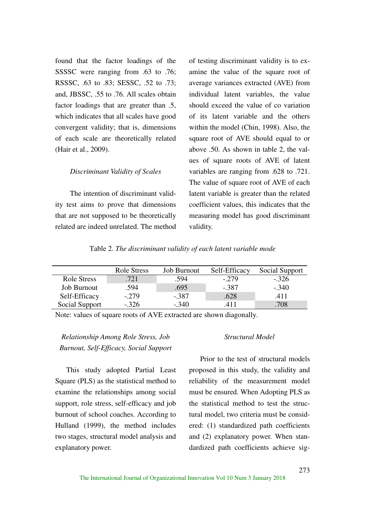found that the factor loadings of the SSSSC were ranging from .63 to .76; RSSSC, .63 to .83; SESSC, .52 to .73; and, JBSSC, .55 to .76. All scales obtain factor loadings that are greater than .5, which indicates that all scales have good convergent validity; that is, dimensions of each scale are theoretically related (Hair et al., 2009).

#### *Discriminant Validity of Scales*

The intention of discriminant validity test aims to prove that dimensions that are not supposed to be theoretically related are indeed unrelated. The method of testing discriminant validity is to examine the value of the square root of average variances extracted (AVE) from individual latent variables, the value should exceed the value of co variation of its latent variable and the others within the model (Chin, 1998). Also, the square root of AVE should equal to or above .50. As shown in table 2, the values of square roots of AVE of latent variables are ranging from .628 to .721. The value of square root of AVE of each latent variable is greater than the related coefficient values, this indicates that the measuring model has good discriminant validity.

Table 2. *The discriminant validity of each latent variable mode* 

|                    | Role Stress | <b>Job Burnout</b> | Self-Efficacy | Social Support |
|--------------------|-------------|--------------------|---------------|----------------|
| <b>Role Stress</b> | .721        | .594               | $-279$        | $-.326$        |
| <b>Job Burnout</b> | .594        | .695               | $-.387$       | $-.340$        |
| Self-Efficacy      | $-.279$     | $-.387$            | .628          | .411           |
| Social Support     | $-.326$     | $-.340$            | 411           | .708           |

Note: values of square roots of AVE extracted are shown diagonally.

# *Relationship Among Role Stress, Job Burnout, Self-Efficacy, Social Support*

This study adopted Partial Least Square (PLS) as the statistical method to examine the relationships among social support, role stress, self-efficacy and job burnout of school coaches. According to Hulland (1999), the method includes two stages, structural model analysis and explanatory power.

#### *Structural Model*

Prior to the test of structural models proposed in this study, the validity and reliability of the measurement model must be ensured. When Adopting PLS as the statistical method to test the structural model, two criteria must be considered: (1) standardized path coefficients and (2) explanatory power. When standardized path coefficients achieve sig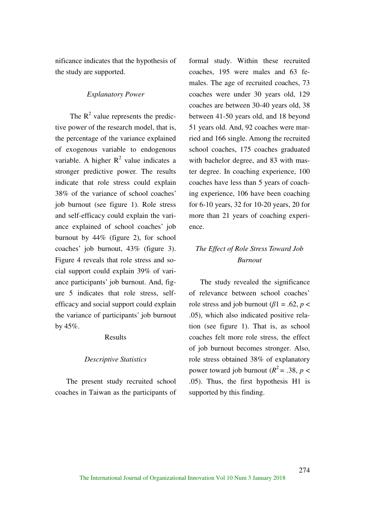nificance indicates that the hypothesis of the study are supported.

### *Explanatory Power*

The  $\mathbb{R}^2$  value represents the predictive power of the research model, that is, the percentage of the variance explained of exogenous variable to endogenous variable. A higher  $R^2$  value indicates a stronger predictive power. The results indicate that role stress could explain 38% of the variance of school coaches' job burnout (see figure 1). Role stress and self-efficacy could explain the variance explained of school coaches' job burnout by 44% (figure 2), for school coaches' job burnout, 43% (figure 3). Figure 4 reveals that role stress and social support could explain 39% of variance participants' job burnout. And, figure 5 indicates that role stress, selfefficacy and social support could explain the variance of participants' job burnout by 45%.

#### Results

### *Descriptive Statistics*

The present study recruited school coaches in Taiwan as the participants of

formal study. Within these recruited coaches, 195 were males and 63 females. The age of recruited coaches, 73 coaches were under 30 years old, 129 coaches are between 30-40 years old, 38 between 41-50 years old, and 18 beyond 51 years old. And, 92 coaches were married and 166 single. Among the recruited school coaches, 175 coaches graduated with bachelor degree, and 83 with master degree. In coaching experience, 100 coaches have less than 5 years of coaching experience, 106 have been coaching for 6-10 years, 32 for 10-20 years, 20 for more than 21 years of coaching experience.

# *The Effect of Role Stress Toward Job Burnout*

The study revealed the significance of relevance between school coaches' role stress and job burnout ( $\beta$ 1 = .62, *p* < .05), which also indicated positive relation (see figure 1). That is, as school coaches felt more role stress, the effect of job burnout becomes stronger. Also, role stress obtained 38% of explanatory power toward job burnout  $(R^2 = .38, p <$ .05). Thus, the first hypothesis H1 is supported by this finding.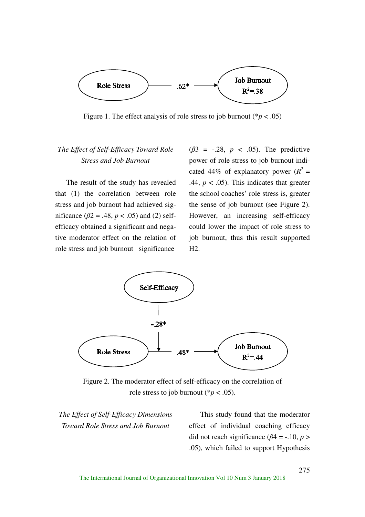

Figure 1. The effect analysis of role stress to job burnout ( $p < .05$ )

# *The Effect of Self-Efficacy Toward Role Stress and Job Burnout*

The result of the study has revealed that (1) the correlation between role stress and job burnout had achieved significance ( $β2 = .48, p < .05$ ) and (2) selfefficacy obtained a significant and negative moderator effect on the relation of role stress and job burnout significance

 $(\beta$ 3 = -.28,  $p < .05$ ). The predictive power of role stress to job burnout indicated 44% of explanatory power  $(R^2 =$ .44,  $p < .05$ ). This indicates that greater the school coaches' role stress is, greater the sense of job burnout (see Figure 2). However, an increasing self-efficacy could lower the impact of role stress to job burnout, thus this result supported H2.



Figure 2. The moderator effect of self-efficacy on the correlation of role stress to job burnout ( $p < .05$ ).

*The Effect of Self-Efficacy Dimensions Toward Role Stress and Job Burnout* 

This study found that the moderator effect of individual coaching efficacy did not reach significance ( $\beta$ 4 = -.10, *p* > .05), which failed to support Hypothesis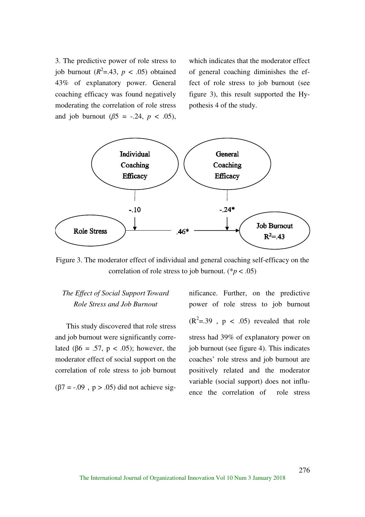3. The predictive power of role stress to job burnout  $(R^2 = .43, p < .05)$  obtained 43% of explanatory power. General coaching efficacy was found negatively moderating the correlation of role stress and job burnout ( $\beta$ 5 = -.24,  $p < .05$ ),

which indicates that the moderator effect of general coaching diminishes the effect of role stress to job burnout (see figure 3), this result supported the Hypothesis 4 of the study.



Figure 3. The moderator effect of individual and general coaching self-efficacy on the correlation of role stress to job burnout. (\**p* < .05)

# *The Effect of Social Support Toward Role Stress and Job Burnout*

This study discovered that role stress and job burnout were significantly correlated ( $\beta$ 6 = .57, p < .05); however, the moderator effect of social support on the correlation of role stress to job burnout

 $(\beta$ 7 = -.09, p > .05) did not achieve sig-

nificance. Further, on the predictive power of role stress to job burnout  $(R^2 = .39$ ,  $p < .05)$  revealed that role stress had 39% of explanatory power on job burnout (see figure 4). This indicates coaches' role stress and job burnout are positively related and the moderator variable (social support) does not influence the correlation of role stress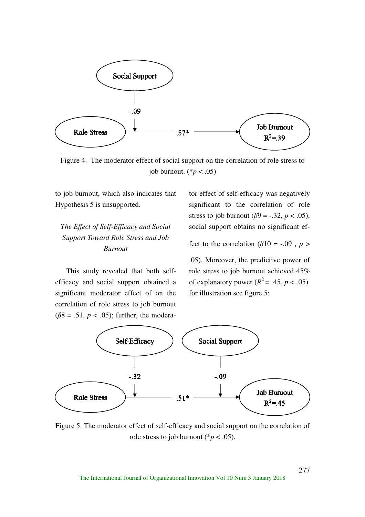

Figure 4. The moderator effect of social support on the correlation of role stress to job burnout. (\**p* < .05)

to job burnout, which also indicates that Hypothesis 5 is unsupported.

# *The Effect of Self-Efficacy and Social Support Toward Role Stress and Job Burnout*

This study revealed that both selfefficacy and social support obtained a significant moderator effect of on the correlation of role stress to job burnout  $(\beta 8 = .51, p < .05)$ ; further, the moderator effect of self-efficacy was negatively significant to the correlation of role stress to job burnout ( $\beta$ 9 = -.32, *p* < .05), social support obtains no significant ef-

fect to the correlation  $(\beta 10 = -0.09, p >$ 

.05). Moreover, the predictive power of role stress to job burnout achieved 45% of explanatory power  $(R^2 = .45, p < .05)$ . for illustration see figure 5:



Figure 5. The moderator effect of self-efficacy and social support on the correlation of role stress to job burnout ( $p < .05$ ).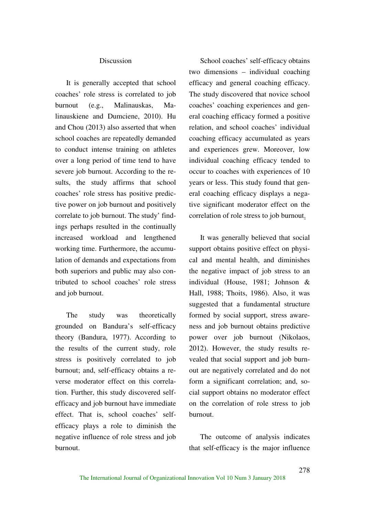# **Discussion**

It is generally accepted that school coaches' role stress is correlated to job burnout (e.g., Malinauskas, Malinauskiene and Dumciene, 2010). Hu and Chou (2013) also asserted that when school coaches are repeatedly demanded to conduct intense training on athletes over a long period of time tend to have severe job burnout. According to the results, the study affirms that school coaches' role stress has positive predictive power on job burnout and positively correlate to job burnout. The study' findings perhaps resulted in the continually increased workload and lengthened working time. Furthermore, the accumulation of demands and expectations from both superiors and public may also contributed to school coaches' role stress and job burnout.

The study was theoretically grounded on Bandura's self-efficacy theory (Bandura, 1977). According to the results of the current study, role stress is positively correlated to job burnout; and, self-efficacy obtains a reverse moderator effect on this correlation. Further, this study discovered selfefficacy and job burnout have immediate effect. That is, school coaches' selfefficacy plays a role to diminish the negative influence of role stress and job burnout.

School coaches' self-efficacy obtains two dimensions – individual coaching efficacy and general coaching efficacy. The study discovered that novice school coaches' coaching experiences and general coaching efficacy formed a positive relation, and school coaches' individual coaching efficacy accumulated as years and experiences grew. Moreover, low individual coaching efficacy tended to occur to coaches with experiences of 10 years or less. This study found that general coaching efficacy displays a negative significant moderator effect on the correlation of role stress to job burnout.

It was generally believed that social support obtains positive effect on physical and mental health, and diminishes the negative impact of job stress to an individual (House, 1981; Johnson & Hall, 1988; Thoits, 1986). Also, it was suggested that a fundamental structure formed by social support, stress awareness and job burnout obtains predictive power over job burnout (Nikolaos, 2012). However, the study results revealed that social support and job burnout are negatively correlated and do not form a significant correlation; and, social support obtains no moderator effect on the correlation of role stress to job burnout.

The outcome of analysis indicates that self-efficacy is the major influence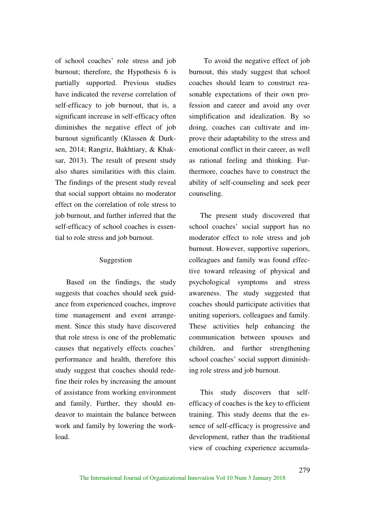of school coaches' role stress and job burnout; therefore, the Hypothesis 6 is partially supported. Previous studies have indicated the reverse correlation of self-efficacy to job burnout, that is, a significant increase in self-efficacy often diminishes the negative effect of job burnout significantly (Klassen & Durksen, 2014; Rangriz, Bakhtiary, & Khaksar, 2013). The result of present study also shares similarities with this claim. The findings of the present study reveal that social support obtains no moderator effect on the correlation of role stress to job burnout, and further inferred that the self-efficacy of school coaches is essential to role stress and job burnout.

#### Suggestion

Based on the findings, the study suggests that coaches should seek guidance from experienced coaches, improve time management and event arrangement. Since this study have discovered that role stress is one of the problematic causes that negatively effects coaches' performance and health, therefore this study suggest that coaches should redefine their roles by increasing the amount of assistance from working environment and family. Further, they should endeavor to maintain the balance between work and family by lowering the workload.

To avoid the negative effect of job burnout, this study suggest that school coaches should learn to construct reasonable expectations of their own profession and career and avoid any over simplification and idealization. By so doing, coaches can cultivate and improve their adaptability to the stress and emotional conflict in their career, as well as rational feeling and thinking. Furthermore, coaches have to construct the ability of self-counseling and seek peer counseling.

The present study discovered that school coaches' social support has no moderator effect to role stress and job burnout. However, supportive superiors, colleagues and family was found effective toward releasing of physical and psychological symptoms and stress awareness. The study suggested that coaches should participate activities that uniting superiors, colleagues and family. These activities help enhancing the communication between spouses and children, and further strengthening school coaches' social support diminishing role stress and job burnout.

This study discovers that selfefficacy of coaches is the key to efficient training. This study deems that the essence of self-efficacy is progressive and development, rather than the traditional view of coaching experience accumula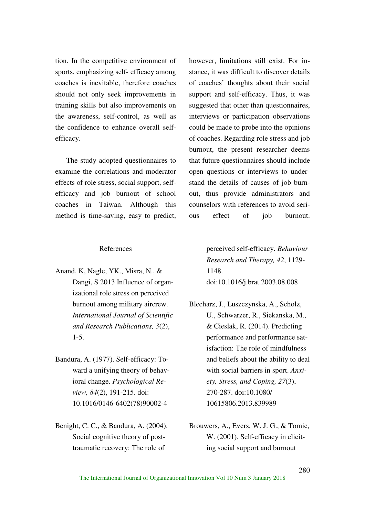tion. In the competitive environment of sports, emphasizing self- efficacy among coaches is inevitable, therefore coaches should not only seek improvements in training skills but also improvements on the awareness, self-control, as well as the confidence to enhance overall selfefficacy.

The study adopted questionnaires to examine the correlations and moderator effects of role stress, social support, selfefficacy and job burnout of school coaches in Taiwan. Although this method is time-saving, easy to predict,

### References

- Anand, K, Nagle, YK., Misra, N., & Dangi, S 2013 Influence of organizational role stress on perceived burnout among military aircrew. *International Journal of Scientific and Research Publications, 3*(2), 1-5.
- Bandura, A. (1977). Self-efficacy: Toward a unifying theory of behavioral change. *Psychological Review, 84*(2), 191-215. doi: 10.1016/0146-6402(78)90002-4
- Benight, C. C., & Bandura, A. (2004). Social cognitive theory of posttraumatic recovery: The role of

however, limitations still exist. For instance, it was difficult to discover details of coaches' thoughts about their social support and self-efficacy. Thus, it was suggested that other than questionnaires, interviews or participation observations could be made to probe into the opinions of coaches. Regarding role stress and job burnout, the present researcher deems that future questionnaires should include open questions or interviews to understand the details of causes of job burnout, thus provide administrators and counselors with references to avoid serious effect of job burnout.

> perceived self-efficacy. *Behaviour Research and Therapy, 42*, 1129- 1148. doi:10.1016/j.brat.2003.08.008

- Blecharz, J., Luszczynska, A., Scholz, U., Schwarzer, R., Siekanska, M., & Cieslak, R. (2014). Predicting performance and performance satisfaction: The role of mindfulness and beliefs about the ability to deal with social barriers in sport. *Anxiety, Stress, and Coping, 27*(3), 270-287. doi:10.1080/ 10615806.2013.839989
- Brouwers, A., Evers, W. J. G., & Tomic, W. (2001). Self-efficacy in eliciting social support and burnout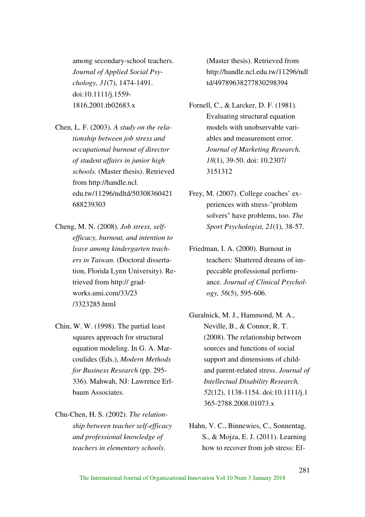among secondary-school teachers. *Journal of Applied Social Psychology, 31*(7), 1474-1491. doi:10.1111/j.1559- 1816.2001.tb02683.x

- Chen, L. F. (2003). *A study on the relationship between job stress and occupational burnout of director of student affairs in junior high schools.* (Master thesis). Retrieved from http://handle.ncl. edu.tw/11296/ndltd/50308360421 688239303
- Cheng, M. N. (2008). *Job stress, selfefficacy, burnout, and intention to leave among kindergarten teachers in Taiwan.* (Doctoral dissertation, Florida Lynn University). Retrieved from http:// gradworks.umi.com/33/23 /3323285.html
- Chin, W. W. (1998). The partial least squares approach for structural equation modeling. In G. A. Marcoulides (Eds.), *Modern Methods for Business Research* (pp. 295- 336). Mahwah, NJ: Lawrence Erlbaum Associates.
- Chu-Chen, H. S. (2002). *The relationship between teacher self-efficacy and professional knowledge of teachers in elementary schools*.

(Master thesis). Retrieved from http://handle.ncl.edu.tw/11296/ndl td/49789638277830298394

- Fornell, C., & Larcker, D. F. (1981). Evaluating structural equation models with unobservable variables and measurement error. *Journal of Marketing Research, 18*(1), 39-50. doi: 10.2307/ 3151312
- Frey, M. (2007). College coaches' experiences with stress-"problem solvers" have problems, too. *The Sport Psychologist, 21*(1), 38-57.
- Friedman, I. A. (2000). Burnout in teachers: Shattered dreams of impeccable professional performance. *Journal of Clinical Psychology, 56*(5), 595-606.
- Guralnick, M. J., Hammond, M. A., Neville, B., & Connor, R. T. (2008). The relationship between sources and functions of social support and dimensions of childand parent-related stress. *Journal of Intellectual Disability Research, 52*(12), 1138-1154. doi:10.1111/j.1 365-2788.2008.01073.x
- Hahn, V. C., Binnewies, C., Sonnentag, S., & Mojza, E. J. (2011). Learning how to recover from job stress: Ef-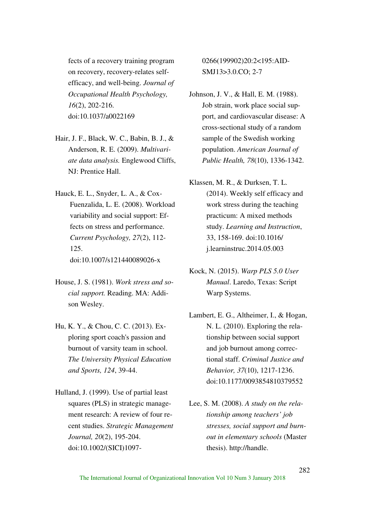fects of a recovery training program on recovery, recovery-relates selfefficacy, and well-being. *Journal of Occupational Health Psychology, 16*(2), 202-216. doi:10.1037/a0022169

- Hair, J. F., Black, W. C., Babin, B. J., & Anderson, R. E. (2009). *Multivariate data analysis.* Englewood Cliffs, NJ: Prentice Hall.
- Hauck, E. L., Snyder, L. A., & Cox-Fuenzalida, L. E. (2008). Workload variability and social support: Effects on stress and performance. *Current Psychology, 27*(2), 112- 125. doi:10.1007/s121440089026-x
- House, J. S. (1981). *Work stress and social support.* Reading. MA: Addison Wesley.
- Hu, K. Y., & Chou, C. C. (2013). Exploring sport coach's passion and burnout of varsity team in school. *The University Physical Education and Sports, 124*, 39-44.
- Hulland, J. (1999). Use of partial least squares (PLS) in strategic management research: A review of four recent studies. *Strategic Management Journal, 20*(2), 195-204. doi:10.1002/(SICI)1097-

0266(199902)20:2<195:AID-SMJ13>3.0.CO; 2-7

- Johnson, J. V., & Hall, E. M. (1988). Job strain, work place social support, and cardiovascular disease: A cross-sectional study of a random sample of the Swedish working population. *American Journal of Public Health, 78*(10), 1336-1342.
- Klassen, M. R., & Durksen, T. L. (2014). Weekly self efficacy and work stress during the teaching practicum: A mixed methods study. *Learning and Instruction*, 33, 158-169. doi:10.1016/ j.learninstruc.2014.05.003
- Kock, N. (2015). *Warp PLS 5.0 User Manual*. Laredo, Texas: Script Warp Systems.
- Lambert, E. G., Altheimer, I., & Hogan, N. L. (2010). Exploring the relationship between social support and job burnout among correctional staff. *Criminal Justice and Behavior, 37*(10), 1217-1236. doi:10.1177/0093854810379552
- Lee, S. M. (2008). *A study on the relationship among teachers' job stresses, social support and burnout in elementary schools* (Master thesis). http://handle.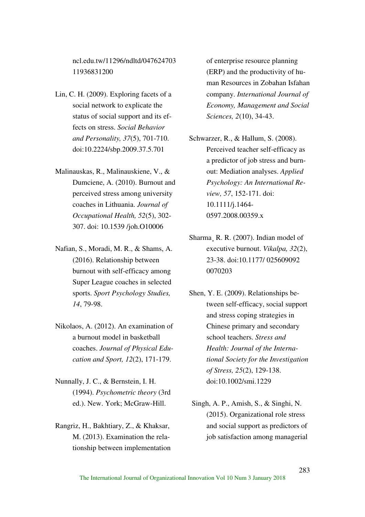ncl.edu.tw/11296/ndltd/047624703 11936831200

- Lin, C. H. (2009). Exploring facets of a social network to explicate the status of social support and its effects on stress. *Social Behavior and Personality, 37*(5), 701-710. doi:10.2224/sbp.2009.37.5.701
- Malinauskas, R., Malinauskiene, V., & Dumciene, A. (2010). Burnout and perceived stress among university coaches in Lithuania. *Journal of Occupational Health, 52*(5), 302- 307. doi: 10.1539 /joh.O10006
- Nafian, S., Moradi, M. R., & Shams, A. (2016). Relationship between burnout with self-efficacy among Super League coaches in selected sports. *Sport Psychology Studies, 14*, 79-98.
- Nikolaos, A. (2012). An examination of a burnout model in basketball coaches. *Journal of Physical Education and Sport, 12*(2), 171-179.
- Nunnally, J. C., & Bernstein, I. H. (1994). *Psychometric theory* (3rd ed.). New. York; McGraw-Hill.
- Rangriz, H., Bakhtiary, Z., & Khaksar, M. (2013). Examination the relationship between implementation

of enterprise resource planning (ERP) and the productivity of human Resources in Zobahan Isfahan company. *International Journal of Economy, Management and Social Sciences, 2*(10), 34-43.

- Schwarzer, R., & Hallum, S. (2008). Perceived teacher self-efficacy as a predictor of job stress and burnout: Mediation analyses. *Applied Psychology: An International Review, 57*, 152-171. doi: 10.1111/j.1464- 0597.2008.00359.x
- Sharma¸ R. R. (2007). Indian model of executive burnout. *Vikalpa, 32*(2), 23-38. doi:10.1177/ 025609092 0070203
- Shen, Y. E. (2009). Relationships between self-efficacy, social support and stress coping strategies in Chinese primary and secondary school teachers. *Stress and Health: Journal of the International Society for the Investigation of Stress, 25*(2), 129-138. doi:10.1002/smi.1229
- Singh, A. P., Amish, S., & Singhi, N. (2015). Organizational role stress and social support as predictors of job satisfaction among managerial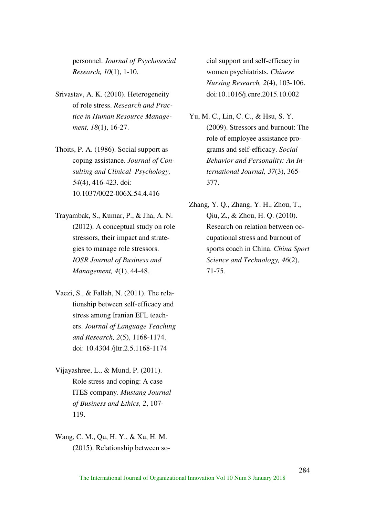personnel. *Journal of Psychosocial Research, 10*(1), 1-10.

- Srivastav, A. K. (2010). Heterogeneity of role stress. *Research and Practice in Human Resource Management, 18*(1), 16-27.
- Thoits, P. A. (1986). Social support as coping assistance. *Journal of Consulting and Clinical Psychology, 54*(4), 416-423. doi: 10.1037/0022-006X.54.4.416
- Trayambak, S., Kumar, P., & Jha, A. N. (2012). A conceptual study on role stressors, their impact and strategies to manage role stressors. *IOSR Journal of Business and Management, 4*(1), 44-48.
- Vaezi, S., & Fallah, N. (2011). The relationship between self-efficacy and stress among Iranian EFL teachers. *Journal of Language Teaching and Research, 2*(5), 1168-1174. doi: 10.4304 /jltr.2.5.1168-1174
- Vijayashree, L., & Mund, P. (2011). Role stress and coping: A case ITES company. *Mustang Journal of Business and Ethics, 2*, 107- 119.
- Wang, C. M., Qu, H. Y., & Xu, H. M. (2015). Relationship between so-

cial support and self-efficacy in women psychiatrists. *Chinese Nursing Research, 2*(4), 103-106. doi:10.1016/j.cnre.2015.10.002

- Yu, M. C., Lin, C. C., & Hsu, S. Y. (2009). Stressors and burnout: The role of employee assistance programs and self-efficacy. *Social Behavior and Personality: An International Journal, 37*(3), 365- 377.
- Zhang, Y. Q., Zhang, Y. H., Zhou, T., Qiu, Z., & Zhou, H. Q. (2010). Research on relation between occupational stress and burnout of sports coach in China. *China Sport Science and Technology, 46*(2), 71-75.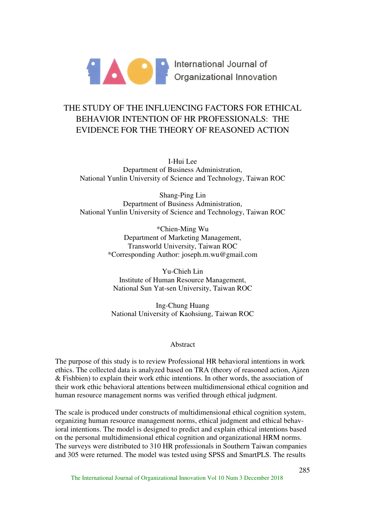**Contractional Journal of** Organizational Innovation

# THE STUDY OF THE INFLUENCING FACTORS FOR ETHICAL BEHAVIOR INTENTION OF HR PROFESSIONALS: THE EVIDENCE FOR THE THEORY OF REASONED ACTION

I-Hui Lee Department of Business Administration, National Yunlin University of Science and Technology, Taiwan ROC

Shang-Ping Lin Department of Business Administration, National Yunlin University of Science and Technology, Taiwan ROC

> \*Chien-Ming Wu Department of Marketing Management, Transworld University, Taiwan ROC \*Corresponding Author: joseph.m.wu@gmail.com

Yu-Chieh Lin Institute of Human Resource Management, National Sun Yat-sen University, Taiwan ROC

Ing-Chung Huang National University of Kaohsiung, Taiwan ROC

#### Abstract

The purpose of this study is to review Professional HR behavioral intentions in work ethics. The collected data is analyzed based on TRA (theory of reasoned action, Ajzen & Fishbien) to explain their work ethic intentions. In other words, the association of their work ethic behavioral attentions between multidimensional ethical cognition and human resource management norms was verified through ethical judgment.

The scale is produced under constructs of multidimensional ethical cognition system, organizing human resource management norms, ethical judgment and ethical behavioral intentions. The model is designed to predict and explain ethical intentions based on the personal multidimensional ethical cognition and organizational HRM norms. The surveys were distributed to 310 HR professionals in Southern Taiwan companies and 305 were returned. The model was tested using SPSS and SmartPLS. The results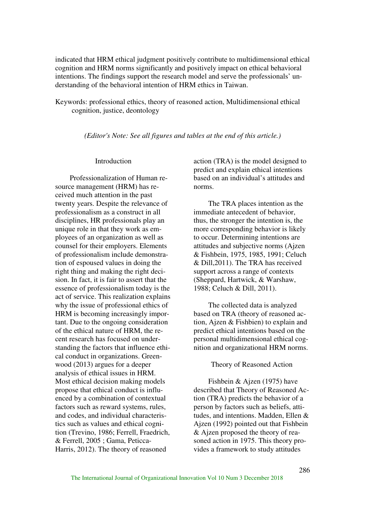indicated that HRM ethical judgment positively contribute to multidimensional ethical cognition and HRM norms significantly and positively impact on ethical behavioral intentions. The findings support the research model and serve the professionals' understanding of the behavioral intention of HRM ethics in Taiwan.

# Keywords: professional ethics, theory of reasoned action, Multidimensional ethical cognition, justice, deontology

*(Editor's Note: See all figures and tables at the end of this article.)* 

#### Introduction

 Professionalization of Human resource management (HRM) has received much attention in the past twenty years. Despite the relevance of professionalism as a construct in all disciplines, HR professionals play an unique role in that they work as employees of an organization as well as counsel for their employers. Elements of professionalism include demonstration of espoused values in doing the right thing and making the right decision. In fact, it is fair to assert that the essence of professionalism today is the act of service. This realization explains why the issue of professional ethics of HRM is becoming increasingly important. Due to the ongoing consideration of the ethical nature of HRM, the recent research has focused on understanding the factors that influence ethical conduct in organizations. Greenwood (2013) argues for a deeper analysis of ethical issues in HRM. Most ethical decision making models propose that ethical conduct is influenced by a combination of contextual factors such as reward systems, rules, and codes, and individual characteristics such as values and ethical cognition (Trevino, 1986; Ferrell, Fraedrich, & Ferrell, 2005 ; Gama, Peticca-Harris, 2012). The theory of reasoned

action (TRA) is the model designed to predict and explain ethical intentions based on an individual's attitudes and norms.

 The TRA places intention as the immediate antecedent of behavior, thus, the stronger the intention is, the more corresponding behavior is likely to occur. Determining intentions are attitudes and subjective norms (Ajzen & Fishbein, 1975, 1985, 1991; Celuch & Dill,2011). The TRA has received support across a range of contexts (Sheppard, Hartwick, & Warshaw, 1988; Celuch & Dill, 2011).

 The collected data is analyzed based on TRA (theory of reasoned action, Ajzen & Fishbien) to explain and predict ethical intentions based on the personal multidimensional ethical cognition and organizational HRM norms.

#### Theory of Reasoned Action

 Fishbein & Ajzen (1975) have described that Theory of Reasoned Action (TRA) predicts the behavior of a person by factors such as beliefs, attitudes, and intentions. Madden, Ellen & Ajzen (1992) pointed out that Fishbein & Ajzen proposed the theory of reasoned action in 1975. This theory provides a framework to study attitudes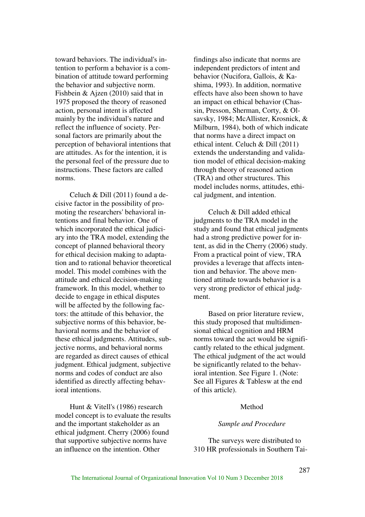toward behaviors. The individual's intention to perform a behavior is a combination of attitude toward performing the behavior and subjective norm. Fishbein & Ajzen (2010) said that in 1975 proposed the theory of reasoned action, personal intent is affected mainly by the individual's nature and reflect the influence of society. Personal factors are primarily about the perception of behavioral intentions that are attitudes. As for the intention, it is the personal feel of the pressure due to instructions. These factors are called norms.

 Celuch & Dill (2011) found a decisive factor in the possibility of promoting the researchers' behavioral intentions and final behavior. One of which incorporated the ethical judiciary into the TRA model, extending the concept of planned behavioral theory for ethical decision making to adaptation and to rational behavior theoretical model. This model combines with the attitude and ethical decision-making framework. In this model, whether to decide to engage in ethical disputes will be affected by the following factors: the attitude of this behavior, the subjective norms of this behavior, behavioral norms and the behavior of these ethical judgments. Attitudes, subjective norms, and behavioral norms are regarded as direct causes of ethical judgment. Ethical judgment, subjective norms and codes of conduct are also identified as directly affecting behavioral intentions.

 Hunt & Vitell's (1986) research model concept is to evaluate the results and the important stakeholder as an ethical judgment. Cherry (2006) found that supportive subjective norms have an influence on the intention. Other

findings also indicate that norms are independent predictors of intent and behavior (Nucifora, Gallois, & Kashima, 1993). In addition, normative effects have also been shown to have an impact on ethical behavior (Chassin, Presson, Sherman, Corty, & Olsavsky, 1984; McAllister, Krosnick, & Milburn, 1984), both of which indicate that norms have a direct impact on ethical intent. Celuch & Dill (2011) extends the understanding and validation model of ethical decision-making through theory of reasoned action (TRA) and other structures. This model includes norms, attitudes, ethical judgment, and intention.

 Celuch & Dill added ethical judgments to the TRA model in the study and found that ethical judgments had a strong predictive power for intent, as did in the Cherry (2006) study. From a practical point of view, TRA provides a leverage that affects intention and behavior. The above mentioned attitude towards behavior is a very strong predictor of ethical judgment.

 Based on prior literature review, this study proposed that multidimensional ethical cognition and HRM norms toward the act would be significantly related to the ethical judgment. The ethical judgment of the act would be significantly related to the behavioral intention. See Figure 1. (Note: See all Figures & Tablesw at the end of this article).

#### Method

#### *Sample and Procedure*

 The surveys were distributed to 310 HR professionals in Southern Tai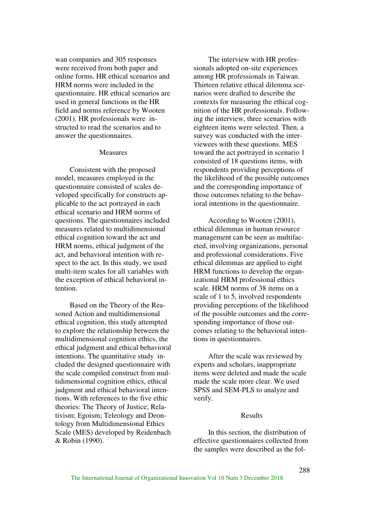wan companies and 305 responses were received from both paper and online forms. HR ethical scenarios and HRM norms were included in the questionnaire. HR ethical scenarios are used in general functions in the HR field and norms reference by Wooten (2001). HR professionals were instructed to read the scenarios and to answer the questionnaires.

#### Measures

 Consistent with the proposed model, measures employed in the questionnaire consisted of scales developed specifically for constructs applicable to the act portrayed in each ethical scenario and HRM norms of questions. The questionnaires included measures related to multidimensional ethical cognition toward the act and HRM norms, ethical judgment of the act, and behavioral intention with respect to the act. In this study, we used multi-item scales for all variables with the exception of ethical behavioral intention.

 Based on the Theory of the Reasoned Action and multidimensional ethical cognition, this study attempted to explore the relationship between the multidimensional cognition ethics, the ethical judgment and ethical behavioral intentions. The quantitative study included the designed questionnaire with the scale compiled construct from multidimensional cognition ethics, ethical judgment and ethical behavioral intentions. With references to the five ethic theories: The Theory of Justice; Relativism; Egoism; Teleology and Deontology from Multidimensional Ethics Scale (MES) developed by Reidenbach & Robin (1990).

 The interview with HR professionals adopted on-site experiences among HR professionals in Taiwan. Thirteen relative ethical dilemma scenarios were drafted to describe the contexts for measuring the ethical cognition of the HR professionals. Following the interview, three scenarios with eighteen items were selected. Then, a survey was conducted with the interviewees with these questions. MES toward the act portrayed in scenario 1 consisted of 18 questions items, with respondents providing perceptions of the likelihood of the possible outcomes and the corresponding importance of those outcomes relating to the behavioral intentions in the questionnaire.

 According to Wooten (2001), ethical dilemmas in human resource management can be seen as multifaceted, involving organizations, personal and professional considerations. Five ethical dilemmas are applied to eight HRM functions to develop the organizational HRM professional ethics scale. HRM norms of 38 items on a scale of 1 to 5, involved respondents providing perceptions of the likelihood of the possible outcomes and the corresponding importance of those outcomes relating to the behavioral intentions in questionnaires.

 After the scale was reviewed by experts and scholars, inappropriate items were deleted and made the scale made the scale more clear. We used SPSS and SEM-PLS to analyze and verify.

#### Results

 In this section, the distribution of effective questionnaires collected from the samples were described as the fol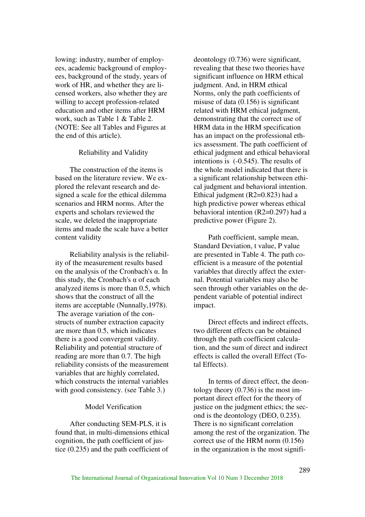lowing: industry, number of employees, academic background of employees, background of the study, years of work of HR, and whether they are licensed workers, also whether they are willing to accept profession-related education and other items after HRM work, such as Table 1 & Table 2. (NOTE: See all Tables and Figures at the end of this article).

#### Reliability and Validity

 The construction of the items is based on the literature review. We explored the relevant research and designed a scale for the ethical dilemma scenarios and HRM norms. After the experts and scholars reviewed the scale, we deleted the inappropriate items and made the scale have a better content validity

 Reliability analysis is the reliability of the measurement results based on the analysis of the Cronbach's α. In this study, the Cronbach's  $\alpha$  of each analyzed items is more than 0.5, which shows that the construct of all the items are acceptable (Nunnally,1978). The average variation of the constructs of number extraction capacity are more than 0.5, which indicates there is a good convergent validity. Reliability and potential structure of reading are more than 0.7. The high reliability consists of the measurement variables that are highly correlated, which constructs the internal variables with good consistency. (see Table 3.)

#### Model Verification

 After conducting SEM-PLS, it is found that, in multi-dimensions ethical cognition, the path coefficient of justice (0.235) and the path coefficient of

deontology (0.736) were significant, revealing that these two theories have significant influence on HRM ethical judgment. And, in HRM ethical Norms, only the path coefficients of misuse of data (0.156) is significant related with HRM ethical judgment, demonstrating that the correct use of HRM data in the HRM specification has an impact on the professional ethics assessment. The path coefficient of ethical judgment and ethical behavioral intentions is (-0.545). The results of the whole model indicated that there is a significant relationship between ethical judgment and behavioral intention. Ethical judgment (R2=0.823) had a high predictive power whereas ethical behavioral intention (R2=0.297) had a predictive power (Figure 2).

 Path coefficient, sample mean, Standard Deviation, t value, P value are presented in Table 4. The path coefficient is a measure of the potential variables that directly affect the external. Potential variables may also be seen through other variables on the dependent variable of potential indirect impact.

 Direct effects and indirect effects, two different effects can be obtained through the path coefficient calculation, and the sum of direct and indirect effects is called the overall Effect (Total Effects).

 In terms of direct effect, the deontology theory (0.736) is the most important direct effect for the theory of justice on the judgment ethics; the second is the deontology (DEO, 0.235). There is no significant correlation among the rest of the organization. The correct use of the HRM norm (0.156) in the organization is the most signifi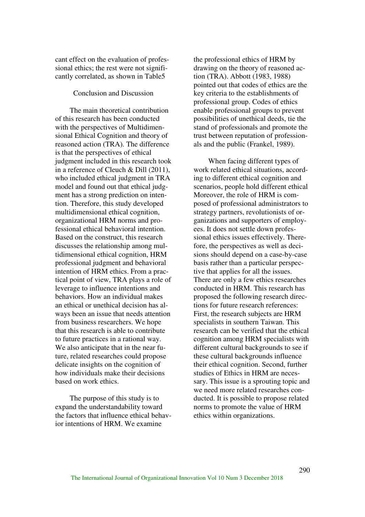cant effect on the evaluation of professional ethics; the rest were not significantly correlated, as shown in Table5

#### Conclusion and Discussion

 The main theoretical contribution of this research has been conducted with the perspectives of Multidimensional Ethical Cognition and theory of reasoned action (TRA). The difference is that the perspectives of ethical judgment included in this research took in a reference of Cleuch & Dill (2011), who included ethical judgment in TRA model and found out that ethical judgment has a strong prediction on intention. Therefore, this study developed multidimensional ethical cognition, organizational HRM norms and professional ethical behavioral intention. Based on the construct, this research discusses the relationship among multidimensional ethical cognition, HRM professional judgment and behavioral intention of HRM ethics. From a practical point of view, TRA plays a role of leverage to influence intentions and behaviors. How an individual makes an ethical or unethical decision has always been an issue that needs attention from business researchers. We hope that this research is able to contribute to future practices in a rational way. We also anticipate that in the near future, related researches could propose delicate insights on the cognition of how individuals make their decisions based on work ethics.

 The purpose of this study is to expand the understandability toward the factors that influence ethical behavior intentions of HRM. We examine

the professional ethics of HRM by drawing on the theory of reasoned action (TRA). Abbott (1983, 1988) pointed out that codes of ethics are the key criteria to the establishments of professional group. Codes of ethics enable professional groups to prevent possibilities of unethical deeds, tie the stand of professionals and promote the trust between reputation of professionals and the public (Frankel, 1989).

 When facing different types of work related ethical situations, according to different ethical cognition and scenarios, people hold different ethical Moreover, the role of HRM is composed of professional administrators to strategy partners, revolutionists of organizations and supporters of employees. It does not settle down professional ethics issues effectively. Therefore, the perspectives as well as decisions should depend on a case-by-case basis rather than a particular perspective that applies for all the issues. There are only a few ethics researches conducted in HRM. This research has proposed the following research directions for future research references: First, the research subjects are HRM specialists in southern Taiwan. This research can be verified that the ethical cognition among HRM specialists with different cultural backgrounds to see if these cultural backgrounds influence their ethical cognition. Second, further studies of Ethics in HRM are necessary. This issue is a sprouting topic and we need more related researches conducted. It is possible to propose related norms to promote the value of HRM ethics within organizations.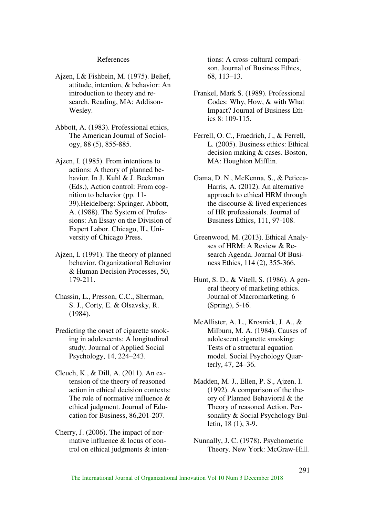#### References

- Ajzen, I.& Fishbein, M. (1975). Belief, attitude, intention, & behavior: An introduction to theory and research. Reading, MA: Addison-Wesley.
- Abbott, A. (1983). Professional ethics, The American Journal of Sociology, 88 (5), 855‐885.
- Ajzen, I. (1985). From intentions to actions: A theory of planned behavior. In J. Kuhl & J. Beckman (Eds.), Action control: From cognition to behavior (pp. 11- 39).Heidelberg: Springer. Abbott, A. (1988). The System of Professions: An Essay on the Division of Expert Labor. Chicago, IL, University of Chicago Press.
- Ajzen, I. (1991). The theory of planned behavior. Organizational Behavior & Human Decision Processes, 50, 179-211.
- Chassin, L., Presson, C.C., Sherman, S. J., Corty, E. & Olsavsky, R. (1984).
- Predicting the onset of cigarette smoking in adolescents: A longitudinal study. Journal of Applied Social Psychology, 14, 224–243.
- Cleuch, K., & Dill, A. (2011). An extension of the theory of reasoned action in ethical decision contexts: The role of normative influence & ethical judgment. Journal of Education for Business, 86,201-207.
- Cherry, J. (2006). The impact of normative influence & locus of control on ethical judgments & inten-

tions: A cross-cultural comparison. Journal of Business Ethics, 68, 113–13.

- Frankel, Mark S. (1989). Professional Codes: Why, How, & with What Impact? Journal of Business Ethics 8: 109-115.
- Ferrell, O. C., Fraedrich, J., & Ferrell, L. (2005). Business ethics: Ethical decision making & cases. Boston, MA: Houghton Mifflin.
- Gama, D. N., McKenna, S., & Peticca-Harris, A. (2012). An alternative approach to ethical HRM through the discourse & lived experiences of HR professionals. Journal of Business Ethics, 111, 97-108.
- Greenwood, M. (2013). Ethical Analyses of HRM: A Review & Research Agenda. Journal Of Business Ethics, 114 (2), 355-366.
- Hunt, S. D., & Vitell, S. (1986). A general theory of marketing ethics. Journal of Macromarketing. 6 (Spring), 5-16.
- McAllister, A. L., Krosnick, J. A., & Milburn, M. A. (1984). Causes of adolescent cigarette smoking: Tests of a structural equation model. Social Psychology Quarterly, 47, 24–36.
- Madden, M. J., Ellen, P. S., Ajzen, I. (1992). A comparison of the theory of Planned Behavioral & the Theory of reasoned Action. Personality & Social Psychology Bulletin, 18 (1), 3-9.
- Nunnally, J. C. (1978). Psychometric Theory. New York: McGraw-Hill.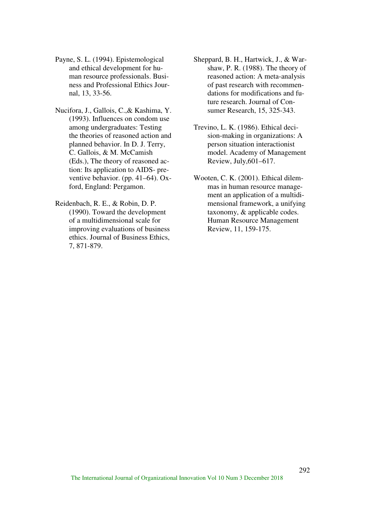- Payne, S. L. (1994). Epistemological and ethical development for human resource professionals. Business and Professional Ethics Journal, 13, 33-56.
- Nucifora, J., Gallois, C.,& Kashima, Y. (1993). Influences on condom use among undergraduates: Testing the theories of reasoned action and planned behavior. In D. J. Terry, C. Gallois, & M. McCamish (Eds.), The theory of reasoned action: Its application to AIDS- preventive behavior. (pp. 41–64). Oxford, England: Pergamon.
- Reidenbach, R. E., & Robin, D. P. (1990). Toward the development of a multidimensional scale for improving evaluations of business ethics. Journal of Business Ethics, 7, 871-879.
- Sheppard, B. H., Hartwick, J., & Warshaw, P. R. (1988). The theory of reasoned action: A meta-analysis of past research with recommendations for modifications and future research. Journal of Consumer Research, 15, 325-343.
- Trevino, L. K. (1986). Ethical decision-making in organizations: A person situation interactionist model. Academy of Management Review, July,601–617.
- Wooten, C. K. (2001). Ethical dilemmas in human resource management an application of a multidimensional framework, a unifying taxonomy, & applicable codes. Human Resource Management Review, 11, 159-175.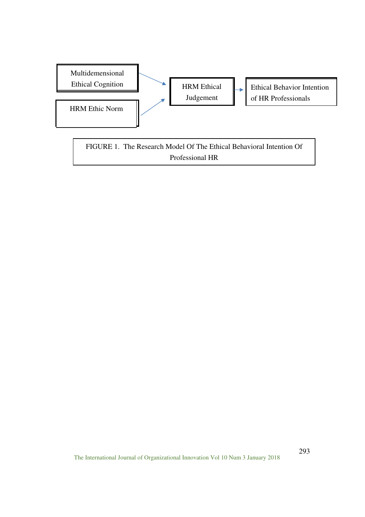

FIGURE 1. The Research Model Of The Ethical Behavioral Intention Of Professional HR

293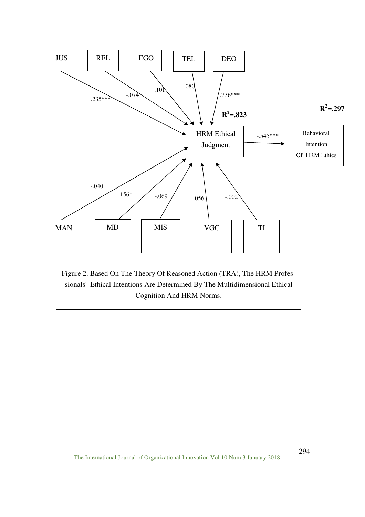

Figure 2. Based On The Theory Of Reasoned Action (TRA), The HRM Professionals' Ethical Intentions Are Determined By The Multidimensional Ethical Cognition And HRM Norms.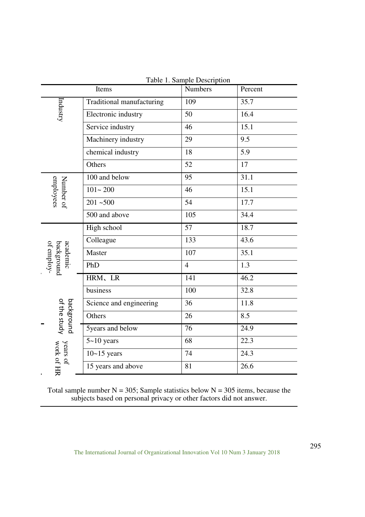|                                                                                                              | Items                     | rable 1. Sample Description<br><b>Numbers</b> | Percent |
|--------------------------------------------------------------------------------------------------------------|---------------------------|-----------------------------------------------|---------|
|                                                                                                              | Traditional manufacturing | 109                                           | 35.7    |
| Industry                                                                                                     | Electronic industry       | 50                                            | 16.4    |
|                                                                                                              | Service industry          | 46                                            | 15.1    |
|                                                                                                              | Machinery industry        | 29                                            | 9.5     |
|                                                                                                              | chemical industry         | 18                                            | 5.9     |
|                                                                                                              | Others                    | 52                                            | 17      |
|                                                                                                              | 100 and below             | 95                                            | 31.1    |
| Number of<br>employees                                                                                       | $101 - 200$               | 46                                            | 15.1    |
|                                                                                                              | $201 - 500$               | 54                                            | 17.7    |
|                                                                                                              | 500 and above             | 105                                           | 34.4    |
| $\begin{array}{c} \rm{ac} \rm{ademic} \\ \rm{back} \rm{ground} \\ \rm{of} \,\rm{empty} \text{-} \end{array}$ | <b>High school</b>        | $\overline{57}$                               | 18.7    |
|                                                                                                              | Colleague                 | 133                                           | 43.6    |
|                                                                                                              | Master                    | 107                                           | 35.1    |
|                                                                                                              | PhD                       | $\overline{4}$                                | 1.3     |
|                                                                                                              | HRM, LR                   | 141                                           | 46.2    |
| of the study<br>packground                                                                                   | business                  | 100                                           | 32.8    |
|                                                                                                              | Science and engineering   | 36                                            | 11.8    |
|                                                                                                              | Others                    | 26                                            | 8.5     |
|                                                                                                              | 5years and below          | 76                                            | 24.9    |
|                                                                                                              | $5 - 10$ years            | 68                                            | 22.3    |
| years of                                                                                                     | $10 - 15$ years           | 74                                            | 24.3    |
| work of HR                                                                                                   | 15 years and above        | 81                                            | 26.6    |

Table 1. Sample Description

Total sample number  $N = 305$ ; Sample statistics below  $N = 305$  items, because the subjects based on personal privacy or other factors did not answer.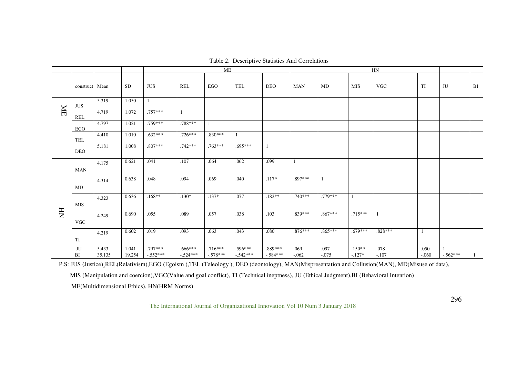|                     |                |        |           | $\rm ME$<br>$\operatorname{HN}$ |              |            |            |            |            |           |            |            |              |           |    |
|---------------------|----------------|--------|-----------|---------------------------------|--------------|------------|------------|------------|------------|-----------|------------|------------|--------------|-----------|----|
|                     | construct Mean |        | <b>SD</b> | <b>JUS</b>                      | <b>REL</b>   | EGO        | TEL        | <b>DEO</b> | <b>MAN</b> | MD        | <b>MIS</b> | <b>VGC</b> | TI           | JU        | BI |
|                     | <b>JUS</b>     | 5.319  | 1.050     |                                 |              |            |            |            |            |           |            |            |              |           |    |
| $\overline{\rm ML}$ | REL            | 4.719  | 1.072     | $.757***$                       | $\mathbf{1}$ |            |            |            |            |           |            |            |              |           |    |
|                     | EGO            | 4.797  | 1.021     | $.759***$                       | .788***      | 1          |            |            |            |           |            |            |              |           |    |
|                     | TEL            | 4.410  | 1.010     | $.632***$                       | $.726***$    | $.830***$  |            |            |            |           |            |            |              |           |    |
|                     | <b>DEO</b>     | 5.181  | 1.008     | $.807***$                       | $.742***$    | $.763***$  | $.695***$  | -1         |            |           |            |            |              |           |    |
|                     | <b>MAN</b>     | 4.175  | 0.621     | .041                            | .107         | .064       | .062       | .099       | -1         |           |            |            |              |           |    |
|                     | MD             | 4.314  | 0.638     | .048                            | .094         | .069       | .040       | $.117*$    | $.897***$  | 1         |            |            |              |           |    |
|                     | <b>MIS</b>     | 4.323  | 0.636     | $.168**$                        | $.130*$      | $.137*$    | .077       | $.182**$   | $.740***$  | .779***   | -1         |            |              |           |    |
| $\overline{\Xi}$    | ${\rm VGC}$    | 4.249  | 0.690     | .055                            | .089         | .057       | .038       | .103       | $.839***$  | $.867***$ | $.715***$  | -1         |              |           |    |
|                     | TI             | 4.219  | 0.602     | .019                            | .093         | .063       | .043       | .080       | $.876***$  | $.865***$ | $.679***$  | $.828***$  | $\mathbf{1}$ |           |    |
|                     | JU             | 5.433  | 1.041     | .797***                         | .666***      | $.716***$  | .596***    | .889***    | .069       | .097      | $.150**$   | .078       | .050         |           |    |
|                     | BI             | 35.135 | 19.254    | $-.552***$                      | $-.524***$   | $-.578***$ | $-.542***$ | $-.584***$ | $-.062$    | $-.075$   | $-.127*$   | $-.107$    | $-.060$      | $-562***$ |    |

Table 2. Descriptive Statistics And Correlations

P.S: JUS (Justice)¸REL(Relativism),EGO (Egoism ),TEL (Teleology ), DEO (deontology), MAN(Mispresentation and Collusion(MAN), MD(Misuse of data),

MIS (Manipulation and coercion),VGC(Value and goal conflict), TI (Technical ineptness), JU (Ethical Judgment),BI (Behavioral Intention)

ME(Multidimensional Ethics), HN(HRM Norms)

The International Journal of Organizational Innovation Vol 10 Num 3 January 2018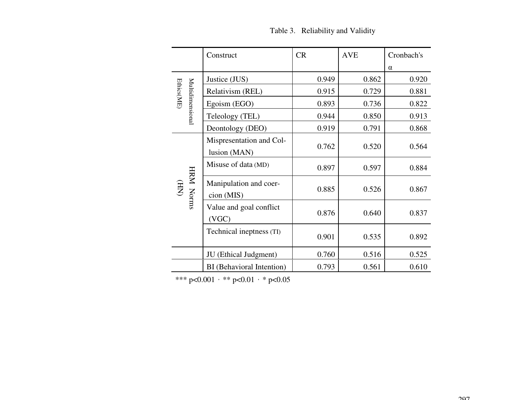|                  | Construct                                | <b>CR</b> | <b>AVE</b> | Cronbach's |
|------------------|------------------------------------------|-----------|------------|------------|
|                  |                                          |           |            | $\alpha$   |
|                  | Justice (JUS)                            | 0.949     | 0.862      | 0.920      |
| <b>Ethics(ME</b> | Relativism (REL)                         | 0.915     | 0.729      | 0.881      |
|                  | Egoism (EGO)                             | 0.893     | 0.736      | 0.822      |
| Multidimensional | Teleology (TEL)                          | 0.944     | 0.850      | 0.913      |
|                  | Deontology (DEO)                         | 0.919     | 0.791      | 0.868      |
| <b>HRM Norms</b> | Mispresentation and Col-<br>lusion (MAN) | 0.762     | 0.520      | 0.564      |
|                  | Misuse of data (MD)                      | 0.897     | 0.597      | 0.884      |
|                  | Manipulation and coer-<br>cion (MIS)     | 0.885     | 0.526      | 0.867      |
|                  | Value and goal conflict<br>(VGC)         | 0.876     | 0.640      | 0.837      |
|                  | Technical ineptness (TI)                 | 0.901     | 0.535      | 0.892      |
|                  | <b>JU</b> (Ethical Judgment)             | 0.760     | 0.516      | 0.525      |
|                  | BI (Behavioral Intention)                | 0.793     | 0.561      | 0.610      |

Table 3. Reliability and Validity

\*\*\* p<0.001, \text{ \*\* p<0.01, \text{ \* p<0.05}}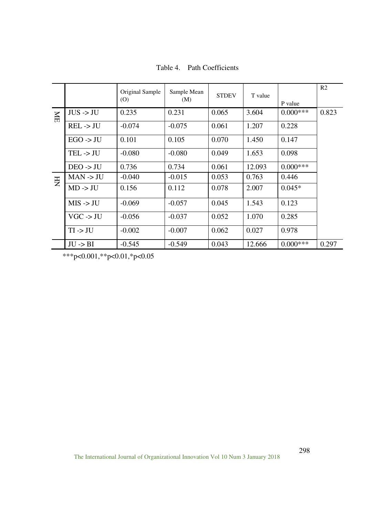|                  |                      | Original Sample<br>(0) | Sample Mean<br>(M) | <b>STDEV</b> | T value | P value     | R2    |
|------------------|----------------------|------------------------|--------------------|--------------|---------|-------------|-------|
| $\sum$           | $JUS - JU$           | 0.235                  | 0.231              | 0.065        | 3.604   | $0.000$ *** | 0.823 |
|                  | $REL$ -> $JU$        | $-0.074$               | $-0.075$           | 0.061        | 1.207   | 0.228       |       |
|                  | $EGO \rightarrow JU$ | 0.101                  | 0.105              | 0.070        | 1.450   | 0.147       |       |
|                  | $TEL$ -> $JU$        | $-0.080$               | $-0.080$           | 0.049        | 1.653   | 0.098       |       |
|                  | $DEO \rightarrow JU$ | 0.736                  | 0.734              | 0.061        | 12.093  | $0.000$ *** |       |
| $\overline{\Xi}$ | $MAN - JU$           | $-0.040$               | $-0.015$           | 0.053        | 0.763   | 0.446       |       |
|                  | $MD$ -> JU           | 0.156                  | 0.112              | 0.078        | 2.007   | $0.045*$    |       |
|                  | $MIS \rightarrow JU$ | $-0.069$               | $-0.057$           | 0.045        | 1.543   | 0.123       |       |
|                  | $VGC$ -> $JU$        | $-0.056$               | $-0.037$           | 0.052        | 1.070   | 0.285       |       |
|                  | $TI$ -> $JU$         | $-0.002$               | $-0.007$           | 0.062        | 0.027   | 0.978       |       |
|                  | $JU \rightarrow BI$  | $-0.545$               | $-0.549$           | 0.043        | 12.666  | $0.000***$  | 0.297 |

Table 4. Path Coefficients

\*\*\*p<0.001,\*\*p<0.01,\*p<0.05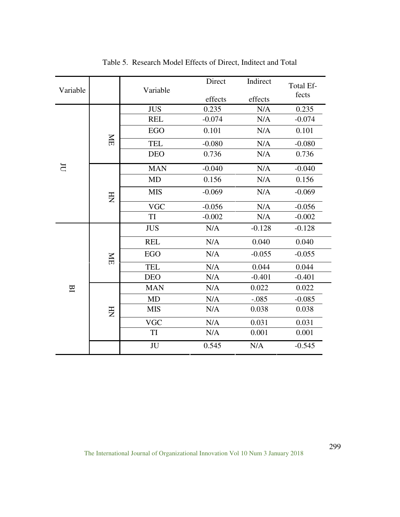|          |            |            | Direct   | Indirect | Total Ef- |
|----------|------------|------------|----------|----------|-----------|
| Variable |            | Variable   | effects  | effects  | fects     |
|          |            | <b>JUS</b> | 0.235    | N/A      | 0.235     |
|          |            | <b>REL</b> | $-0.074$ | N/A      | $-0.074$  |
|          |            | <b>EGO</b> | 0.101    | N/A      | 0.101     |
|          | NE         | <b>TEL</b> | $-0.080$ | N/A      | $-0.080$  |
|          |            | <b>DEO</b> | 0.736    | N/A      | 0.736     |
| E        |            | <b>MAN</b> | $-0.040$ | N/A      | $-0.040$  |
|          |            | <b>MD</b>  | 0.156    | N/A      | 0.156     |
|          | E          | <b>MIS</b> | $-0.069$ | N/A      | $-0.069$  |
|          |            | <b>VGC</b> | $-0.056$ | N/A      | $-0.056$  |
|          |            | TI         | $-0.002$ | N/A      | $-0.002$  |
| EI       |            | <b>JUS</b> | N/A      | $-0.128$ | $-0.128$  |
|          |            | <b>REL</b> | N/A      | 0.040    | 0.040     |
|          | <b>NIE</b> | <b>EGO</b> | N/A      | $-0.055$ | $-0.055$  |
|          |            | <b>TEL</b> | N/A      | 0.044    | 0.044     |
|          |            | <b>DEO</b> | N/A      | $-0.401$ | $-0.401$  |
|          |            | <b>MAN</b> | N/A      | 0.022    | 0.022     |
|          |            | <b>MD</b>  | N/A      | $-.085$  | $-0.085$  |
|          | E          | <b>MIS</b> | N/A      | 0.038    | 0.038     |
|          |            | <b>VGC</b> | N/A      | 0.031    | 0.031     |
|          |            | TI         | N/A      | 0.001    | 0.001     |
|          |            | JU         | 0.545    | N/A      | $-0.545$  |

Table 5. Research Model Effects of Direct, Inditect and Total

The International Journal of Organizational Innovation Vol 10 Num 3 January 2018

299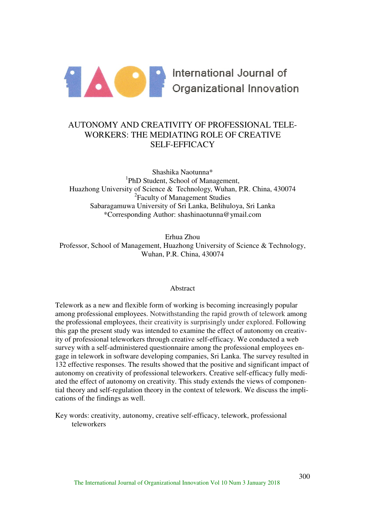

# AUTONOMY AND CREATIVITY OF PROFESSIONAL TELE-WORKERS: THE MEDIATING ROLE OF CREATIVE SELF-EFFICACY

Shashika Naotunna\* <sup>1</sup>PhD Student, School of Management, Huazhong University of Science & Technology, Wuhan, P.R. China, 430074 <sup>2</sup> Faculty of Management Studies Sabaragamuwa University of Sri Lanka, Belihuloya, Sri Lanka \*Corresponding Author: shashinaotunna@ymail.com

Erhua Zhou Professor, School of Management, Huazhong University of Science & Technology, Wuhan, P.R. China, 430074

#### Abstract

Telework as a new and flexible form of working is becoming increasingly popular among professional employees. Notwithstanding the rapid growth of telework among the professional employees, their creativity is surprisingly under explored. Following this gap the present study was intended to examine the effect of autonomy on creativity of professional teleworkers through creative self-efficacy. We conducted a web survey with a self-administered questionnaire among the professional employees engage in telework in software developing companies, Sri Lanka. The survey resulted in 132 effective responses. The results showed that the positive and significant impact of autonomy on creativity of professional teleworkers. Creative self-efficacy fully mediated the effect of autonomy on creativity. This study extends the views of componential theory and self-regulation theory in the context of telework. We discuss the implications of the findings as well.

Key words: creativity, autonomy, creative self-efficacy, telework, professional teleworkers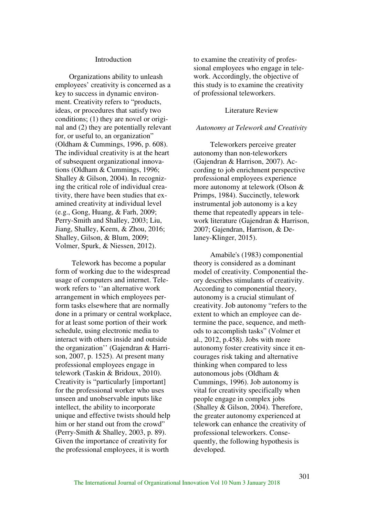#### **Introduction**

 Organizations ability to unleash employees' creativity is concerned as a key to success in dynamic environment. Creativity refers to "products, ideas, or procedures that satisfy two conditions; (1) they are novel or original and (2) they are potentially relevant for, or useful to, an organization" (Oldham & Cummings, 1996, p. 608). The individual creativity is at the heart of subsequent organizational innovations (Oldham & Cummings, 1996; Shalley & Gilson, 2004). In recognizing the critical role of individual creativity, there have been studies that examined creativity at individual level (e.g., Gong, Huang, & Farh, 2009; Perry-Smith and Shalley, 2003; Liu, Jiang, Shalley, Keem, & Zhou, 2016; Shalley, Gilson, & Blum, 2009; Volmer, Spurk, & Niessen, 2012).

 Telework has become a popular form of working due to the widespread usage of computers and internet. Telework refers to ''an alternative work arrangement in which employees perform tasks elsewhere that are normally done in a primary or central workplace, for at least some portion of their work schedule, using electronic media to interact with others inside and outside the organization'' (Gajendran & Harrison, 2007, p. 1525). At present many professional employees engage in telework (Taskin & Bridoux, 2010). Creativity is "particularly [important] for the professional worker who uses unseen and unobservable inputs like intellect, the ability to incorporate unique and effective twists should help him or her stand out from the crowd" (Perry-Smith & Shalley, 2003, p. 89). Given the importance of creativity for the professional employees, it is worth

to examine the creativity of professional employees who engage in telework. Accordingly, the objective of this study is to examine the creativity of professional teleworkers.

#### Literature Review

#### *Autonomy at Telework and Creativity*

 Teleworkers perceive greater autonomy than non-teleworkers (Gajendran & Harrison, 2007). According to job enrichment perspective professional employees experience more autonomy at telework (Olson & Primps, 1984). Succinctly, telework instrumental job autonomy is a key theme that repeatedly appears in telework literature (Gajendran & Harrison, 2007; Gajendran, Harrison, & Delaney-Klinger, 2015).

 Amabile's (1983) componential theory is considered as a dominant model of creativity. Componential theory describes stimulants of creativity. According to componential theory, autonomy is a crucial stimulant of creativity. Job autonomy "refers to the extent to which an employee can determine the pace, sequence, and methods to accomplish tasks" (Volmer et al., 2012, p.458). Jobs with more autonomy foster creativity since it encourages risk taking and alternative thinking when compared to less autonomous jobs (Oldham & Cummings, 1996). Job autonomy is vital for creativity specifically when people engage in complex jobs (Shalley & Gilson, 2004). Therefore, the greater autonomy experienced at telework can enhance the creativity of professional teleworkers. Consequently, the following hypothesis is developed.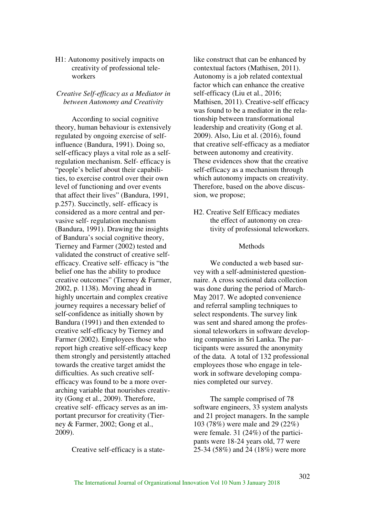H1: Autonomy positively impacts on creativity of professional teleworkers

## *Creative Self-efficacy as a Mediator in between Autonomy and Creativity*

 According to social cognitive theory, human behaviour is extensively regulated by ongoing exercise of selfinfluence (Bandura, 1991). Doing so, self-efficacy plays a vital role as a selfregulation mechanism. Self- efficacy is "people's belief about their capabilities, to exercise control over their own level of functioning and over events that affect their lives" (Bandura, 1991, p.257). Succinctly, self- efficacy is considered as a more central and pervasive self- regulation mechanism (Bandura, 1991). Drawing the insights of Bandura's social cognitive theory, Tierney and Farmer (2002) tested and validated the construct of creative selfefficacy. Creative self- efficacy is "the belief one has the ability to produce creative outcomes" (Tierney & Farmer, 2002, p. 1138). Moving ahead in highly uncertain and complex creative journey requires a necessary belief of self-confidence as initially shown by Bandura (1991) and then extended to creative self-efficacy by Tierney and Farmer (2002). Employees those who report high creative self-efficacy keep them strongly and persistently attached towards the creative target amidst the difficulties. As such creative selfefficacy was found to be a more overarching variable that nourishes creativity (Gong et al., 2009). Therefore, creative self- efficacy serves as an important precursor for creativity (Tierney & Farmer, 2002; Gong et al., 2009).

Creative self-efficacy is a state-

like construct that can be enhanced by contextual factors (Mathisen, 2011). Autonomy is a job related contextual factor which can enhance the creative self-efficacy (Liu et al., 2016; Mathisen, 2011). Creative-self efficacy was found to be a mediator in the relationship between transformational leadership and creativity (Gong et al. 2009). Also, Liu et al. (2016), found that creative self-efficacy as a mediator between autonomy and creativity. These evidences show that the creative self-efficacy as a mechanism through which autonomy impacts on creativity. Therefore, based on the above discussion, we propose;

H2. Creative Self Efficacy mediates the effect of autonomy on creativity of professional teleworkers.

#### **Methods**

 We conducted a web based survey with a self-administered questionnaire. A cross sectional data collection was done during the period of March-May 2017. We adopted convenience and referral sampling techniques to select respondents. The survey link was sent and shared among the professional teleworkers in software developing companies in Sri Lanka. The participants were assured the anonymity of the data. A total of 132 professional employees those who engage in telework in software developing companies completed our survey.

 The sample comprised of 78 software engineers, 33 system analysts and 21 project managers. In the sample 103 (78%) were male and 29 (22%) were female. 31 (24%) of the participants were 18-24 years old, 77 were 25-34 (58%) and 24 (18%) were more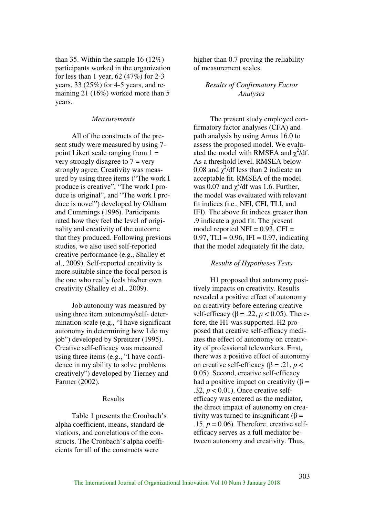than 35. Within the sample 16 (12%) participants worked in the organization for less than 1 year, 62 (47%) for 2-3 years, 33 (25%) for 4-5 years, and remaining 21 (16%) worked more than 5 years.

#### *Measurements*

 All of the constructs of the present study were measured by using 7 point Likert scale ranging from  $1 =$ very strongly disagree to  $7 = \text{very}$ strongly agree. Creativity was measured by using three items ("The work I produce is creative", "The work I produce is original", and "The work I produce is novel") developed by Oldham and Cummings (1996). Participants rated how they feel the level of originality and creativity of the outcome that they produced. Following previous studies, we also used self-reported creative performance (e.g., Shalley et al., 2009). Self-reported creativity is more suitable since the focal person is the one who really feels his/her own creativity (Shalley et al., 2009).

 Job autonomy was measured by using three item autonomy/self- determination scale (e.g., "I have significant autonomy in determining how I do my job") developed by Spreitzer (1995). Creative self-efficacy was measured using three items (e.g., "I have confidence in my ability to solve problems creatively") developed by Tierney and Farmer (2002).

#### Results

 Table 1 presents the Cronbach's alpha coefficient, means, standard deviations, and correlations of the constructs. The Cronbach's alpha coefficients for all of the constructs were

higher than 0.7 proving the reliability of measurement scales.

# *Results of Confirmatory Factor Analyses*

 The present study employed confirmatory factor analyses (CFA) and path analysis by using Amos 16.0 to assess the proposed model. We evaluated the model with RMSEA and  $\chi^2$ /df. As a threshold level, RMSEA below 0.08 and  $\chi^2$ /df less than 2 indicate an acceptable fit. RMSEA of the model was 0.07 and  $\chi^2$ /df was 1.6. Further, the model was evaluated with relevant fit indices (i.e., NFI, CFI, TLI, and IFI). The above fit indices greater than .9 indicate a good fit. The present model reported  $NFI = 0.93$ ,  $CFI =$ 0.97, TLI =  $0.96$ , IFI =  $0.97$ , indicating that the model adequately fit the data.

#### *Results of Hypotheses Tests*

 H1 proposed that autonomy positively impacts on creativity. Results revealed a positive effect of autonomy on creativity before entering creative self-efficacy ( $\beta$  = .22,  $p < 0.05$ ). Therefore, the H1 was supported. H2 proposed that creative self-efficacy mediates the effect of autonomy on creativity of professional teleworkers. First, there was a positive effect of autonomy on creative self-efficacy (β = .21, *p* < 0.05). Second, creative self-efficacy had a positive impact on creativity  $(\beta =$ .32,  $p < 0.01$ ). Once creative selfefficacy was entered as the mediator, the direct impact of autonomy on creativity was turned to insignificant  $(\beta =$ .15,  $p = 0.06$ ). Therefore, creative selfefficacy serves as a full mediator between autonomy and creativity. Thus,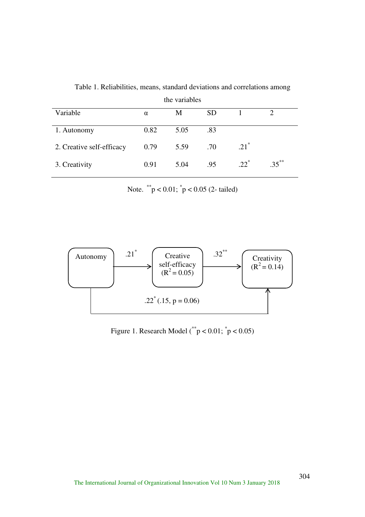|                           |          | the variables |           |        |          |
|---------------------------|----------|---------------|-----------|--------|----------|
| Variable                  | $\alpha$ | M             | <b>SD</b> |        |          |
| 1. Autonomy               | 0.82     | 5.05          | .83       |        |          |
| 2. Creative self-efficacy | 0.79     | 5.59          | .70       | $.21*$ |          |
| 3. Creativity             | 0.91     | 5.04          | .95       | $22^*$ | $.35***$ |

Table 1. Reliabilities, means, standard deviations and correlations among

Note.  $\binom{4}{1}$  < 0.01;  $\binom{4}{1}$  < 0.05 (2- tailed)



Figure 1. Research Model  $\binom{4}{1}$  < 0.01;  $\binom{4}{1}$  < 0.05)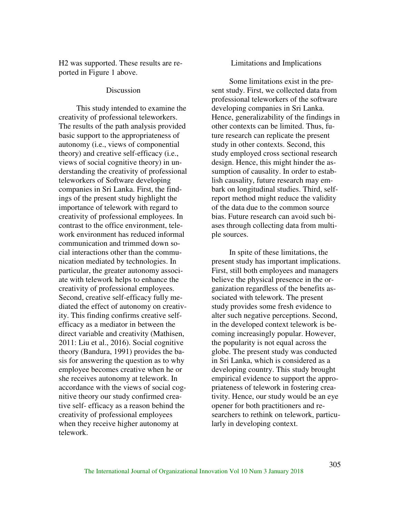H2 was supported. These results are reported in Figure 1 above.

#### Discussion

 This study intended to examine the creativity of professional teleworkers. The results of the path analysis provided basic support to the appropriateness of autonomy (i.e., views of componential theory) and creative self-efficacy (i.e., views of social cognitive theory) in understanding the creativity of professional teleworkers of Software developing companies in Sri Lanka. First, the findings of the present study highlight the importance of telework with regard to creativity of professional employees. In contrast to the office environment, telework environment has reduced informal communication and trimmed down social interactions other than the communication mediated by technologies. In particular, the greater autonomy associate with telework helps to enhance the creativity of professional employees. Second, creative self-efficacy fully mediated the effect of autonomy on creativity. This finding confirms creative selfefficacy as a mediator in between the direct variable and creativity (Mathisen, 2011: Liu et al., 2016). Social cognitive theory (Bandura, 1991) provides the basis for answering the question as to why employee becomes creative when he or she receives autonomy at telework. In accordance with the views of social cognitive theory our study confirmed creative self- efficacy as a reason behind the creativity of professional employees when they receive higher autonomy at telework.

#### Limitations and Implications

 Some limitations exist in the present study. First, we collected data from professional teleworkers of the software developing companies in Sri Lanka. Hence, generalizability of the findings in other contexts can be limited. Thus, future research can replicate the present study in other contexts. Second, this study employed cross sectional research design. Hence, this might hinder the assumption of causality. In order to establish causality, future research may embark on longitudinal studies. Third, selfreport method might reduce the validity of the data due to the common source bias. Future research can avoid such biases through collecting data from multiple sources.

 In spite of these limitations, the present study has important implications. First, still both employees and managers believe the physical presence in the organization regardless of the benefits associated with telework. The present study provides some fresh evidence to alter such negative perceptions. Second, in the developed context telework is becoming increasingly popular. However, the popularity is not equal across the globe. The present study was conducted in Sri Lanka, which is considered as a developing country. This study brought empirical evidence to support the appropriateness of telework in fostering creativity. Hence, our study would be an eye opener for both practitioners and researchers to rethink on telework, particularly in developing context.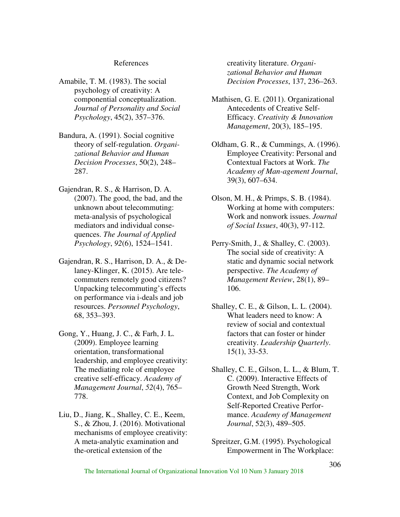#### References

- Amabile, T. M. (1983). The social psychology of creativity: A componential conceptualization. *Journal of Personality and Social Psychology*, 45(2), 357–376.
- Bandura, A. (1991). Social cognitive theory of self-regulation. *Organizational Behavior and Human Decision Processes*, 50(2), 248– 287.
- Gajendran, R. S., & Harrison, D. A. (2007). The good, the bad, and the unknown about telecommuting: meta-analysis of psychological mediators and individual consequences. *The Journal of Applied Psychology*, *92*(6), 1524–1541.
- Gajendran, R. S., Harrison, D. A., & Delaney-Klinger, K. (2015). Are telecommuters remotely good citizens? Unpacking telecommuting's effects on performance via i-deals and job resources. *Personnel Psychology*, 68, 353–393.
- Gong, Y., Huang, J. C., & Farh, J. L. (2009). Employee learning orientation, transformational leadership, and employee creativity: The mediating role of employee creative self-efficacy. *Academy of Management Journal*, *52*(4), 765– 778.
- Liu, D., Jiang, K., Shalley, C. E., Keem, S., & Zhou, J. (2016). Motivational mechanisms of employee creativity: A meta-analytic examination and the-oretical extension of the

creativity literature. *Organizational Behavior and Human Decision Processes*, 137, 236–263.

- Mathisen, G. E. (2011). Organizational Antecedents of Creative Self-Efficacy. *Creativity & Innovation Management*, 20(3), 185–195.
- Oldham, G. R., & Cummings, A. (1996). Employee Creativity: Personal and Contextual Factors at Work. *The Academy of Man-agement Journal*, 39(3), 607–634.
- Olson, M. H., & Primps, S. B. (1984). Working at home with computers: Work and nonwork issues. *Journal of Social Issues*, 40(3), 97-112.
- Perry-Smith, J., & Shalley, C. (2003). The social side of creativity: A static and dynamic social network perspective. *The Academy of Management Review*, 28(1), 89– 106.
- Shalley, C. E., & Gilson, L. L. (2004). What leaders need to know: A review of social and contextual factors that can foster or hinder creativity. *Leadership Quarterly*. 15(1), 33-53.
- Shalley, C. E., Gilson, L. L., & Blum, T. C. (2009). Interactive Effects of Growth Need Strength, Work Context, and Job Complexity on Self-Reported Creative Performance. *Academy of Management Journal*, 52(3), 489–505.
- Spreitzer, G.M. (1995). Psychological Empowerment in The Workplace:

The International Journal of Organizational Innovation Vol 10 Num 3 January 2018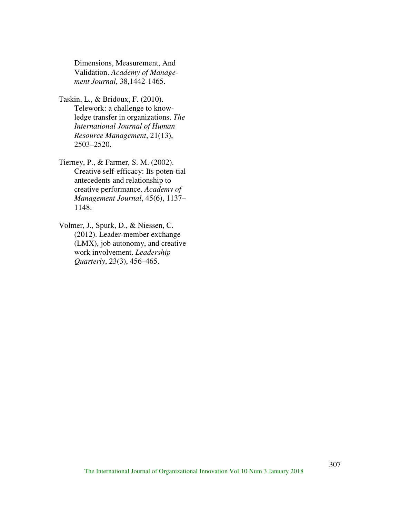Dimensions, Measurement, And Validation. *Academy of Management Journal*, 38,1442-1465.

- Taskin, L., & Bridoux, F. (2010). Telework: a challenge to knowledge transfer in organizations. *The International Journal of Human Resource Management*, 21(13), 2503–2520.
- Tierney, P., & Farmer, S. M. (2002). Creative self-efficacy: Its poten-tial antecedents and relationship to creative performance. *Academy of Management Journal*, 45(6), 1137– 1148.
- Volmer, J., Spurk, D., & Niessen, C. (2012). Leader-member exchange (LMX), job autonomy, and creative work involvement. *Leadership Quarterly*, 23(3), 456–465.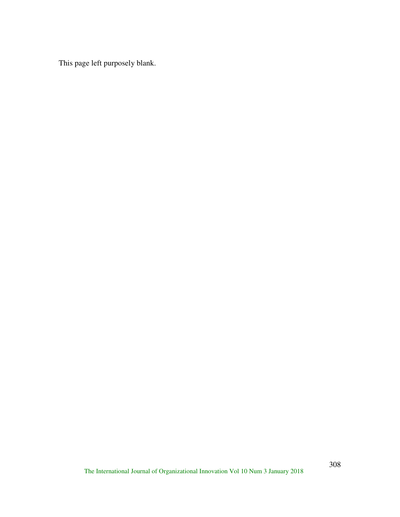This page left purposely blank.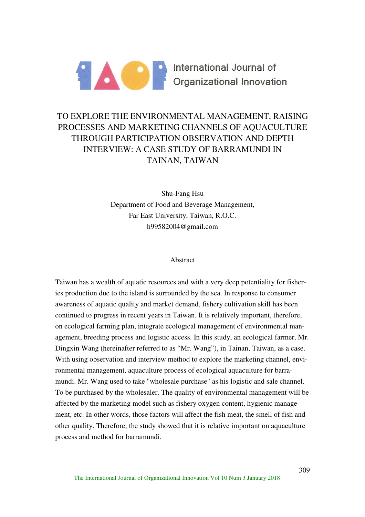

# TO EXPLORE THE ENVIRONMENTAL MANAGEMENT, RAISING PROCESSES AND MARKETING CHANNELS OF AQUACULTURE THROUGH PARTICIPATION OBSERVATION AND DEPTH INTERVIEW: A CASE STUDY OF BARRAMUNDI IN TAINAN, TAIWAN

Shu-Fang Hsu Department of Food and Beverage Management, Far East University, Taiwan, R.O.C. h99582004@gmail.com

### Abstract

Taiwan has a wealth of aquatic resources and with a very deep potentiality for fisheries production due to the island is surrounded by the sea. In response to consumer awareness of aquatic quality and market demand, fishery cultivation skill has been continued to progress in recent years in Taiwan. It is relatively important, therefore, on ecological farming plan, integrate ecological management of environmental management, breeding process and logistic access. In this study, an ecological farmer, Mr. Dingxin Wang (hereinafter referred to as "Mr. Wang"), in Tainan, Taiwan, as a case. With using observation and interview method to explore the marketing channel, environmental management, aquaculture process of ecological aquaculture for barramundi. Mr. Wang used to take "wholesale purchase" as his logistic and sale channel. To be purchased by the wholesaler. The quality of environmental management will be affected by the marketing model such as fishery oxygen content, hygienic management, etc. In other words, those factors will affect the fish meat, the smell of fish and other quality. Therefore, the study showed that it is relative important on aquaculture process and method for barramundi.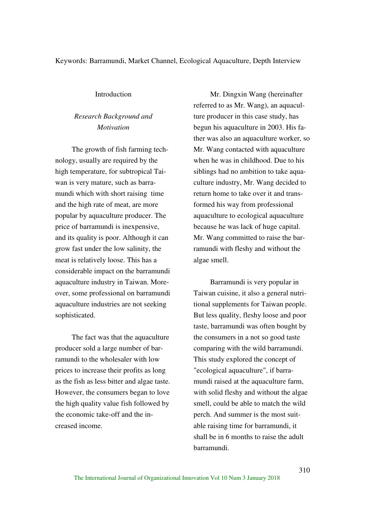### Keywords: Barramundi, Market Channel, Ecological Aquaculture, Depth Interview

### Introduction

# *Research Background and Motivation*

 The growth of fish farming technology, usually are required by the high temperature, for subtropical Taiwan is very mature, such as barramundi which with short raising time and the high rate of meat, are more popular by aquaculture producer. The price of barramundi is inexpensive, and its quality is poor. Although it can grow fast under the low salinity, the meat is relatively loose. This has a considerable impact on the barramundi aquaculture industry in Taiwan. Moreover, some professional on barramundi aquaculture industries are not seeking sophisticated.

 The fact was that the aquaculture producer sold a large number of barramundi to the wholesaler with low prices to increase their profits as long as the fish as less bitter and algae taste. However, the consumers began to love the high quality value fish followed by the economic take-off and the increased income.

 Mr. Dingxin Wang (hereinafter referred to as Mr. Wang), an aquaculture producer in this case study, has begun his aquaculture in 2003. His father was also an aquaculture worker, so Mr. Wang contacted with aquaculture when he was in childhood. Due to his siblings had no ambition to take aquaculture industry, Mr. Wang decided to return home to take over it and transformed his way from professional aquaculture to ecological aquaculture because he was lack of huge capital. Mr. Wang committed to raise the barramundi with fleshy and without the algae smell.

 Barramundi is very popular in Taiwan cuisine, it also a general nutritional supplements for Taiwan people. But less quality, fleshy loose and poor taste, barramundi was often bought by the consumers in a not so good taste comparing with the wild barramundi. This study explored the concept of "ecological aquaculture", if barramundi raised at the aquaculture farm, with solid fleshy and without the algae smell, could be able to match the wild perch. And summer is the most suitable raising time for barramundi, it shall be in 6 months to raise the adult barramundi.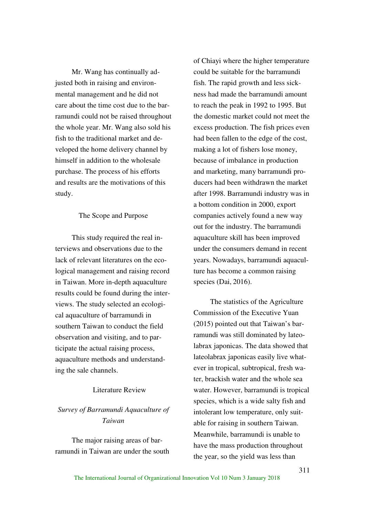Mr. Wang has continually adjusted both in raising and environmental management and he did not care about the time cost due to the barramundi could not be raised throughout the whole year. Mr. Wang also sold his fish to the traditional market and developed the home delivery channel by himself in addition to the wholesale purchase. The process of his efforts and results are the motivations of this study.

The Scope and Purpose

 This study required the real interviews and observations due to the lack of relevant literatures on the ecological management and raising record in Taiwan. More in-depth aquaculture results could be found during the interviews. The study selected an ecological aquaculture of barramundi in southern Taiwan to conduct the field observation and visiting, and to participate the actual raising process, aquaculture methods and understanding the sale channels.

### Literature Review

# *Survey of Barramundi Aquaculture of Taiwan*

 The major raising areas of barramundi in Taiwan are under the south of Chiayi where the higher temperature could be suitable for the barramundi fish. The rapid growth and less sickness had made the barramundi amount to reach the peak in 1992 to 1995. But the domestic market could not meet the excess production. The fish prices even had been fallen to the edge of the cost, making a lot of fishers lose money, because of imbalance in production and marketing, many barramundi producers had been withdrawn the market after 1998. Barramundi industry was in a bottom condition in 2000, export companies actively found a new way out for the industry. The barramundi aquaculture skill has been improved under the consumers demand in recent years. Nowadays, barramundi aquaculture has become a common raising species (Dai, 2016).

 The statistics of the Agriculture Commission of the Executive Yuan (2015) pointed out that Taiwan's barramundi was still dominated by lateolabrax japonicas. The data showed that lateolabrax japonicas easily live whatever in tropical, subtropical, fresh water, brackish water and the whole sea water. However, barramundi is tropical species, which is a wide salty fish and intolerant low temperature, only suitable for raising in southern Taiwan. Meanwhile, barramundi is unable to have the mass production throughout the year, so the yield was less than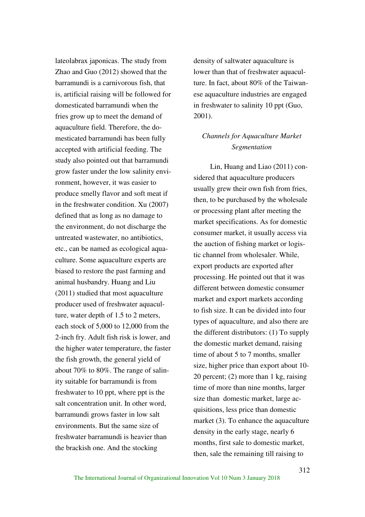lateolabrax japonicas. The study from Zhao and Guo (2012) showed that the barramundi is a carnivorous fish, that is, artificial raising will be followed for domesticated barramundi when the fries grow up to meet the demand of aquaculture field. Therefore, the domesticated barramundi has been fully accepted with artificial feeding. The study also pointed out that barramundi grow faster under the low salinity environment, however, it was easier to produce smelly flavor and soft meat if in the freshwater condition. Xu (2007) defined that as long as no damage to the environment, do not discharge the untreated wastewater, no antibiotics, etc., can be named as ecological aquaculture. Some aquaculture experts are biased to restore the past farming and animal husbandry. Huang and Liu (2011) studied that most aquaculture producer used of freshwater aquaculture, water depth of 1.5 to 2 meters, each stock of 5,000 to 12,000 from the 2-inch fry. Adult fish risk is lower, and the higher water temperature, the faster the fish growth, the general yield of about 70% to 80%. The range of salinity suitable for barramundi is from freshwater to 10 ppt, where ppt is the salt concentration unit. In other word, barramundi grows faster in low salt environments. But the same size of freshwater barramundi is heavier than the brackish one. And the stocking

density of saltwater aquaculture is lower than that of freshwater aquaculture. In fact, about 80% of the Taiwanese aquaculture industries are engaged in freshwater to salinity 10 ppt (Guo, 2001).

# *Channels for Aquaculture Market Segmentation*

 Lin, Huang and Liao (2011) considered that aquaculture producers usually grew their own fish from fries, then, to be purchased by the wholesale or processing plant after meeting the market specifications. As for domestic consumer market, it usually access via the auction of fishing market or logistic channel from wholesaler. While, export products are exported after processing. He pointed out that it was different between domestic consumer market and export markets according to fish size. It can be divided into four types of aquaculture, and also there are the different distributors: (1) To supply the domestic market demand, raising time of about 5 to 7 months, smaller size, higher price than export about 10- 20 percent; (2) more than 1 kg, raising time of more than nine months, larger size than domestic market, large acquisitions, less price than domestic market (3). To enhance the aquaculture density in the early stage, nearly 6 months, first sale to domestic market, then, sale the remaining till raising to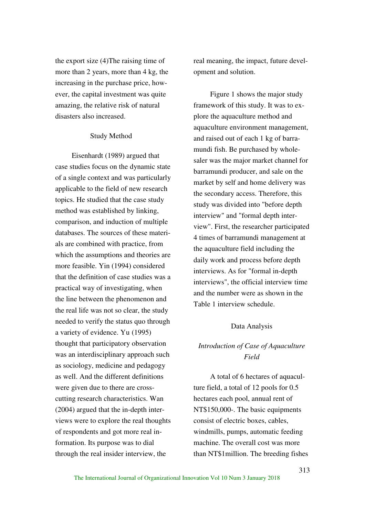the export size (4)The raising time of more than 2 years, more than 4 kg, the increasing in the purchase price, however, the capital investment was quite amazing, the relative risk of natural disasters also increased.

#### Study Method

 Eisenhardt (1989) argued that case studies focus on the dynamic state of a single context and was particularly applicable to the field of new research topics. He studied that the case study method was established by linking, comparison, and induction of multiple databases. The sources of these materials are combined with practice, from which the assumptions and theories are more feasible. Yin (1994) considered that the definition of case studies was a practical way of investigating, when the line between the phenomenon and the real life was not so clear, the study needed to verify the status quo through a variety of evidence. Yu (1995) thought that participatory observation was an interdisciplinary approach such as sociology, medicine and pedagogy as well. And the different definitions were given due to there are crosscutting research characteristics. Wan (2004) argued that the in-depth interviews were to explore the real thoughts of respondents and got more real information. Its purpose was to dial through the real insider interview, the

real meaning, the impact, future development and solution.

 Figure 1 shows the major study framework of this study. It was to explore the aquaculture method and aquaculture environment management, and raised out of each 1 kg of barramundi fish. Be purchased by wholesaler was the major market channel for barramundi producer, and sale on the market by self and home delivery was the secondary access. Therefore, this study was divided into "before depth interview" and "formal depth interview". First, the researcher participated 4 times of barramundi management at the aquaculture field including the daily work and process before depth interviews. As for "formal in-depth interviews", the official interview time and the number were as shown in the Table 1 interview schedule.

#### Data Analysis

# *Introduction of Case of Aquaculture Field*

 A total of 6 hectares of aquaculture field, a total of 12 pools for 0.5 hectares each pool, annual rent of NT\$150,000-. The basic equipments consist of electric boxes, cables, windmills, pumps, automatic feeding machine. The overall cost was more than NT\$1million. The breeding fishes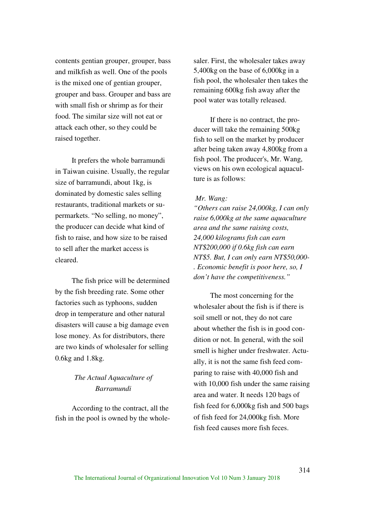contents gentian grouper, grouper, bass and milkfish as well. One of the pools is the mixed one of gentian grouper, grouper and bass. Grouper and bass are with small fish or shrimp as for their food. The similar size will not eat or attack each other, so they could be raised together.

 It prefers the whole barramundi in Taiwan cuisine. Usually, the regular size of barramundi, about 1kg, is dominated by domestic sales selling restaurants, traditional markets or supermarkets. "No selling, no money", the producer can decide what kind of fish to raise, and how size to be raised to sell after the market access is cleared.

 The fish price will be determined by the fish breeding rate. Some other factories such as typhoons, sudden drop in temperature and other natural disasters will cause a big damage even lose money. As for distributors, there are two kinds of wholesaler for selling 0.6kg and 1.8kg.

# *The Actual Aquaculture of Barramundi*

 According to the contract, all the fish in the pool is owned by the wholesaler. First, the wholesaler takes away 5,400kg on the base of 6,000kg in a fish pool, the wholesaler then takes the remaining 600kg fish away after the pool water was totally released.

 If there is no contract, the producer will take the remaining 500kg fish to sell on the market by producer after being taken away 4,800kg from a fish pool. The producer's, Mr. Wang, views on his own ecological aquaculture is as follows:

# *Mr. Wang:*

*"Others can raise 24,000kg, I can only raise 6,000kg at the same aquaculture area and the same raising costs, 24,000 kilograms fish can earn NT\$200,000 if 0.6kg fish can earn NT\$5. But, I can only earn NT\$50,000- . Economic benefit is poor here, so, I don't have the competitiveness."* 

 The most concerning for the wholesaler about the fish is if there is soil smell or not, they do not care about whether the fish is in good condition or not. In general, with the soil smell is higher under freshwater. Actually, it is not the same fish feed comparing to raise with 40,000 fish and with 10,000 fish under the same raising area and water. It needs 120 bags of fish feed for 6,000kg fish and 500 bags of fish feed for 24,000kg fish. More fish feed causes more fish feces.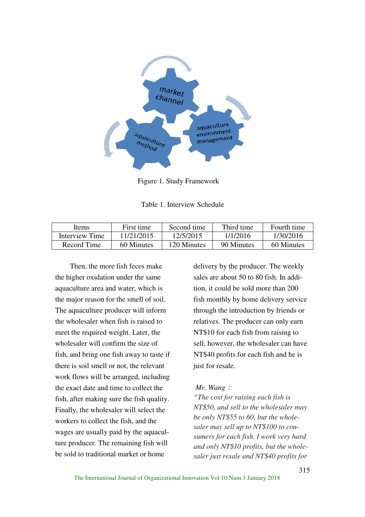

Figure 1. Study Framework

Table 1. Interview Schedule

| Items          | First time | Second time | Third time | Fourth time |
|----------------|------------|-------------|------------|-------------|
| Interview Time | 11/21/2015 | 12/5/2015   | 1/1/2016   | 1/30/2016   |
| Record Time    | 60 Minutes | 120 Minutes | 90 Minutes | 60 Minutes  |

Then, the more fish feces make the higher oxidation under the same aquaculture area and water, which is the major reason for the smell of soil. The aquaculture producer will inform the wholesaler when fish is raised to meet the required weight. Later, the wholesaler will confirm the size of fish, and bring one fish away to taste if there is soil smell or not, the relevant work flows will be arranged, including the exact date and time to collect the fish, after making sure the fish quality. Finally, the wholesaler will select the workers to collect the fish, and the wages are usually paid by the aquaculture producer. The remaining fish will be sold to traditional market or home

delivery by the producer. The weekly sales are about 50 to 80 fish. In addition, it could be sold more than 200 fish monthly by home delivery service through the introduction by friends or relatives. The producer can only earn NT\$10 for each fish from raising to sell, however, the wholesaler can have NT\$40 profits for each fish and he is just for resale.

# *Mr. Wang*:

*"The cost for raising each fish is NT\$50, and sell to the wholesaler may be only NT\$55 to 60, but the wholesaler may sell up to NT\$100 to consumers for each fish. I work very hard and only NT\$10 profits, but the wholesaler just resale and NT\$40 profits for*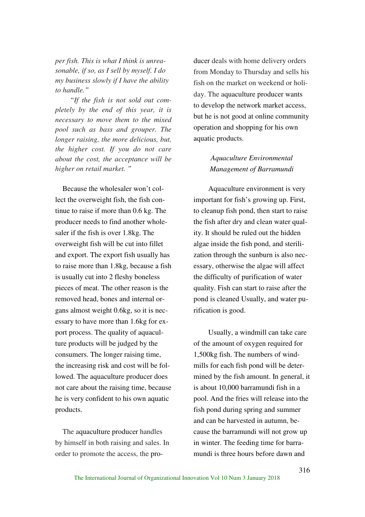*per fish. This is what I think is unreasonable, if so, as I sell by myself. I do my business slowly if I have the ability to handle."* 

*"If the fish is not sold out completely by the end of this year, it is necessary to move them to the mixed pool such as bass and grouper. The longer raising, the more delicious, but, the higher cost. If you do not care about the cost, the acceptance will be higher on retail market. "* 

 Because the wholesaler won't collect the overweight fish, the fish continue to raise if more than 0.6 kg. The producer needs to find another wholesaler if the fish is over 1.8kg. The overweight fish will be cut into fillet and export. The export fish usually has to raise more than 1.8kg, because a fish is usually cut into 2 fleshy boneless pieces of meat. The other reason is the removed head, bones and internal organs almost weight 0.6kg, so it is necessary to have more than 1.6kg for export process. The quality of aquaculture products will be judged by the consumers. The longer raising time, the increasing risk and cost will be followed. The aquaculture producer does not care about the raising time, because he is very confident to his own aquatic products.

 The aquaculture producer handles by himself in both raising and sales. In order to promote the access, the producer deals with home delivery orders from Monday to Thursday and sells his fish on the market on weekend or holiday. The aquaculture producer wants to develop the network market access, but he is not good at online community operation and shopping for his own aquatic products.

# *Aquaculture Environmental Management of Barramundi*

Aquaculture environment is very important for fish's growing up. First, to cleanup fish pond, then start to raise the fish after dry and clean water quality. It should be ruled out the hidden algae inside the fish pond, and sterilization through the sunburn is also necessary, otherwise the algae will affect the difficulty of purification of water quality. Fish can start to raise after the pond is cleaned Usually, and water purification is good.

Usually, a windmill can take care of the amount of oxygen required for 1,500kg fish. The numbers of windmills for each fish pond will be determined by the fish amount. In general, it is about 10,000 barramundi fish in a pool. And the fries will release into the fish pond during spring and summer and can be harvested in autumn, because the barramundi will not grow up in winter. The feeding time for barramundi is three hours before dawn and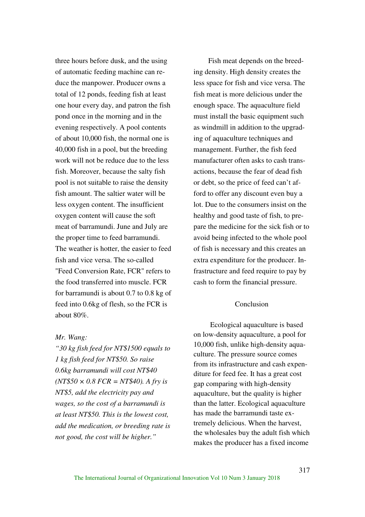three hours before dusk, and the using of automatic feeding machine can reduce the manpower. Producer owns a total of 12 ponds, feeding fish at least one hour every day, and patron the fish pond once in the morning and in the evening respectively. A pool contents of about 10,000 fish, the normal one is 40,000 fish in a pool, but the breeding work will not be reduce due to the less fish. Moreover, because the salty fish pool is not suitable to raise the density fish amount. The saltier water will be less oxygen content. The insufficient oxygen content will cause the soft meat of barramundi. June and July are the proper time to feed barramundi. The weather is hotter, the easier to feed fish and vice versa. The so-called "Feed Conversion Rate, FCR" refers to the food transferred into muscle. FCR for barramundi is about 0.7 to 0.8 kg of feed into 0.6kg of flesh, so the FCR is about 80%.

#### *Mr. Wang:*

*"30 kg fish feed for NT\$1500 equals to 1 kg fish feed for NT\$50. So raise 0.6kg barramundi will cost NT\$40 (NT\$50 × 0.8 FCR = NT\$40). A fry is NT\$5, add the electricity pay and wages, so the cost of a barramundi is at least NT\$50. This is the lowest cost, add the medication, or breeding rate is not good, the cost will be higher."* 

Fish meat depends on the breeding density. High density creates the less space for fish and vice versa. The fish meat is more delicious under the enough space. The aquaculture field must install the basic equipment such as windmill in addition to the upgrading of aquaculture techniques and management. Further, the fish feed manufacturer often asks to cash transactions, because the fear of dead fish or debt, so the price of feed can't afford to offer any discount even buy a lot. Due to the consumers insist on the healthy and good taste of fish, to prepare the medicine for the sick fish or to avoid being infected to the whole pool of fish is necessary and this creates an extra expenditure for the producer. Infrastructure and feed require to pay by cash to form the financial pressure.

#### Conclusion

 Ecological aquaculture is based on low-density aquaculture, a pool for 10,000 fish, unlike high-density aquaculture. The pressure source comes from its infrastructure and cash expenditure for feed fee. It has a great cost gap comparing with high-density aquaculture, but the quality is higher than the latter. Ecological aquaculture has made the barramundi taste extremely delicious. When the harvest, the wholesales buy the adult fish which makes the producer has a fixed income